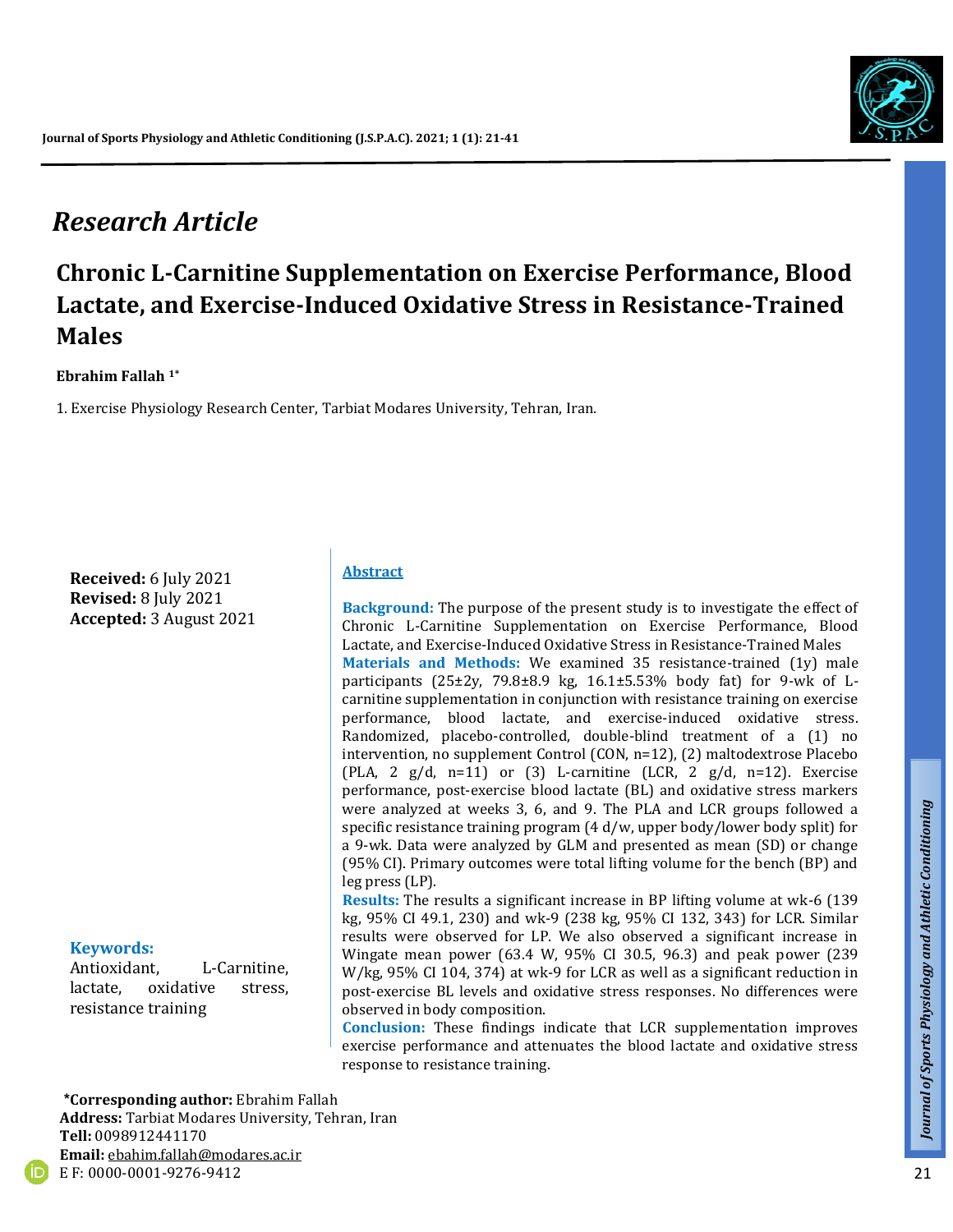# *Research Article*

# **Chronic L-Carnitine Supplementation on Exercise Performance, Blood Lactate, and Exercise-Induced Oxidative Stress in Resistance-Trained Males**

#### **Ebrahim Fallah 1\***

1. Exercise Physiology Research Center, Tarbiat Modares University, Tehran, Iran.

**Received:** 6 July 2021 **Revised:** 8 July 2021 **Accepted:** 3 August 2021

#### **Keywords:**

Antioxidant, L-Carnitine, lactate, oxidative stress, resistance training

#### **Abstract**

**Background:** The purpose of the present study is to investigate the effect of Chronic L-Carnitine Supplementation on Exercise Performance, Blood Lactate, and Exercise-Induced Oxidative Stress in Resistance-Trained Males **Materials and Methods:** We examined 35 resistance-trained (1y) male participants (25±2y, 79.8±8.9 kg, 16.1±5.53% body fat) for 9-wk of Lcarnitine supplementation in conjunction with resistance training on exercise performance, blood lactate, and exercise-induced oxidative stress. Randomized, placebo-controlled, double-blind treatment of a (1) no intervention, no supplement Control (CON, n=12), (2) maltodextrose Placebo (PLA, 2  $g/d$ , n=11) or (3) L-carnitine (LCR, 2  $g/d$ , n=12). Exercise performance, post-exercise blood lactate (BL) and oxidative stress markers were analyzed at weeks 3, 6, and 9. The PLA and LCR groups followed a specific resistance training program (4 d/w, upper body/lower body split) for a 9-wk. Data were analyzed by GLM and presented as mean (SD) or change (95% CI). Primary outcomes were total lifting volume for the bench (BP) and leg press (LP).

**Results:** The results a significant increase in BP lifting volume at wk-6 (139 kg, 95% CI 49.1, 230) and wk-9 (238 kg, 95% CI 132, 343) for LCR. Similar results were observed for LP. We also observed a significant increase in Wingate mean power (63.4 W, 95% CI 30.5, 96.3) and peak power (239 W/kg, 95% CI 104, 374) at wk-9 for LCR as well as a significant reduction in post-exercise BL levels and oxidative stress responses. No differences were observed in body composition.

**Conclusion:** These findings indicate that LCR supplementation improves exercise performance and attenuates the blood lactate and oxidative stress response to resistance training.

 **\*Corresponding author:** Ebrahim Fallah

**Address:** Tarbiat Modares University, Tehran, Iran **Tell:** 0098912441170 **Email:** ebahim.fallah@modares.ac.ir E F: 0000-0001-9276-9412



*Talk*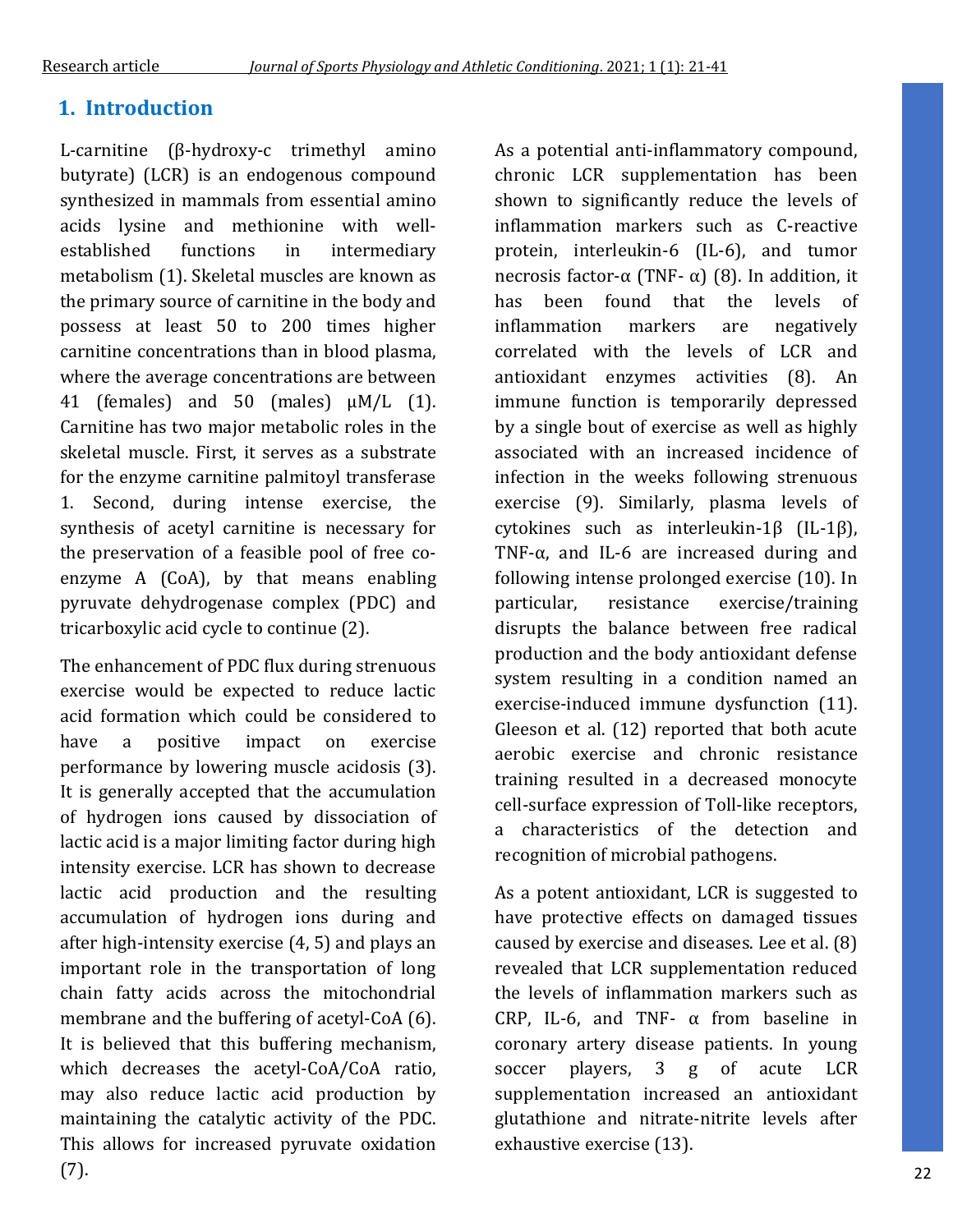## **1. Introduction**

L-carnitine (β-hydroxy-c trimethyl amino butyrate) (LCR) is an endogenous compound synthesized in mammals from essential amino acids lysine and methionine with wellestablished functions in intermediary metabolism (1). Skeletal muscles are known as the primary source of carnitine in the body and possess at least 50 to 200 times higher carnitine concentrations than in blood plasma, where the average concentrations are between 41 (females) and 50 (males)  $\mu M/L$  (1). Carnitine has two major metabolic roles in the skeletal muscle. First, it serves as a substrate for the enzyme carnitine palmitoyl transferase 1. Second, during intense exercise, the synthesis of acetyl carnitine is necessary for the preservation of a feasible pool of free coenzyme A (CoA), by that means enabling pyruvate dehydrogenase complex (PDC) and tricarboxylic acid cycle to continue (2).

The enhancement of PDC flux during strenuous exercise would be expected to reduce lactic acid formation which could be considered to have a positive impact on exercise performance by lowering muscle acidosis (3). It is generally accepted that the accumulation of hydrogen ions caused by dissociation of lactic acid is a major limiting factor during high intensity exercise. LCR has shown to decrease lactic acid production and the resulting accumulation of hydrogen ions during and after high-intensity exercise (4, 5) and plays an important role in the transportation of long chain fatty acids across the mitochondrial membrane and the buffering of acetyl-CoA (6). It is believed that this buffering mechanism, which decreases the acetyl-CoA/CoA ratio, may also reduce lactic acid production by maintaining the catalytic activity of the PDC. This allows for increased pyruvate oxidation (7).

As a potential anti-inflammatory compound, chronic LCR supplementation has been shown to significantly reduce the levels of inflammation markers such as C-reactive protein, interleukin-6 (IL-6), and tumor necrosis factor-α (TNF- α) (8). In addition, it has been found that the levels of inflammation markers are negatively correlated with the levels of LCR and antioxidant enzymes activities (8). An immune function is temporarily depressed by a single bout of exercise as well as highly associated with an increased incidence of infection in the weeks following strenuous exercise (9). Similarly, plasma levels of cytokines such as interleukin-1β (IL-1β), TNF-α, and IL-6 are increased during and following intense prolonged exercise (10). In particular, resistance exercise/training disrupts the balance between free radical production and the body antioxidant defense system resulting in a condition named an exercise-induced immune dysfunction (11). Gleeson et al. (12) reported that both acute aerobic exercise and chronic resistance training resulted in a decreased monocyte cell-surface expression of Toll-like receptors, a characteristics of the detection and recognition of microbial pathogens.

As a potent antioxidant, LCR is suggested to have protective effects on damaged tissues caused by exercise and diseases. Lee et al. (8) revealed that LCR supplementation reduced the levels of inflammation markers such as CRP, IL-6, and TNF-  $\alpha$  from baseline in coronary artery disease patients. In young soccer players, 3 g of acute LCR supplementation increased an antioxidant glutathione and nitrate-nitrite levels after exhaustive exercise (13).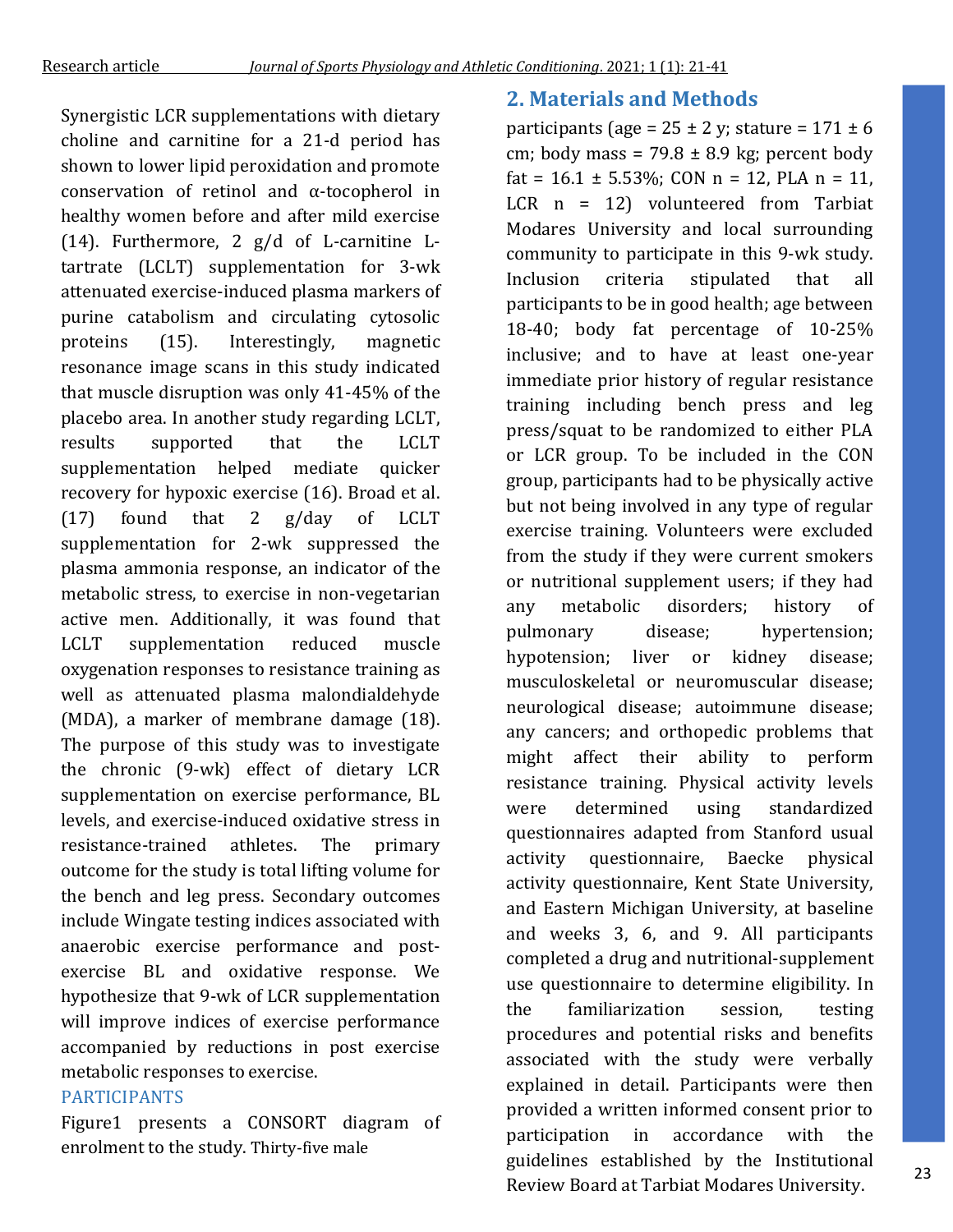Synergistic LCR supplementations with dietary choline and carnitine for a 21-d period has shown to lower lipid peroxidation and promote conservation of retinol and α-tocopherol in healthy women before and after mild exercise (14). Furthermore, 2 g/d of L-carnitine Ltartrate (LCLT) supplementation for 3-wk attenuated exercise-induced plasma markers of purine catabolism and circulating cytosolic proteins (15). Interestingly, magnetic resonance image scans in this study indicated that muscle disruption was only 41-45% of the placebo area. In another study regarding LCLT, results supported that the LCLT supplementation helped mediate quicker recovery for hypoxic exercise (16). Broad et al. (17) found that 2 g/day of LCLT supplementation for 2-wk suppressed the plasma ammonia response, an indicator of the metabolic stress, to exercise in non-vegetarian active men. Additionally, it was found that LCLT supplementation reduced muscle oxygenation responses to resistance training as well as attenuated plasma malondialdehyde (MDA), a marker of membrane damage (18). The purpose of this study was to investigate the chronic (9-wk) effect of dietary LCR supplementation on exercise performance, BL levels, and exercise-induced oxidative stress in resistance-trained athletes. The primary outcome for the study is total lifting volume for the bench and leg press. Secondary outcomes include Wingate testing indices associated with anaerobic exercise performance and postexercise BL and oxidative response. We hypothesize that 9-wk of LCR supplementation will improve indices of exercise performance accompanied by reductions in post exercise metabolic responses to exercise.

### PARTICIPANTS

Figure1 presents a CONSORT diagram of enrolment to the study. Thirty-five male

### **2. Materials and Methods**

participants (age =  $25 \pm 2$  y; stature =  $171 \pm 6$ cm; body mass =  $79.8 \pm 8.9$  kg; percent body fat =  $16.1 \pm 5.53\%$ ; CON n = 12, PLA n = 11, LCR n = 12) volunteered from Tarbiat Modares University and local surrounding community to participate in this 9-wk study. Inclusion criteria stipulated that all participants to be in good health; age between 18-40; body fat percentage of 10-25% inclusive; and to have at least one-year immediate prior history of regular resistance training including bench press and leg press/squat to be randomized to either PLA or LCR group. To be included in the CON group, participants had to be physically active but not being involved in any type of regular exercise training. Volunteers were excluded from the study if they were current smokers or nutritional supplement users; if they had any metabolic disorders; history of pulmonary disease; hypertension; hypotension; liver or kidney disease; musculoskeletal or neuromuscular disease; neurological disease; autoimmune disease; any cancers; and orthopedic problems that might affect their ability to perform resistance training. Physical activity levels were determined using standardized questionnaires adapted from Stanford usual activity questionnaire, Baecke physical activity questionnaire, Kent State University, and Eastern Michigan University, at baseline and weeks 3, 6, and 9. All participants completed a drug and nutritional-supplement use questionnaire to determine eligibility. In the familiarization session, testing procedures and potential risks and benefits associated with the study were verbally explained in detail. Participants were then provided a written informed consent prior to participation in accordance with the guidelines established by the Institutional Review Board at Tarbiat Modares University.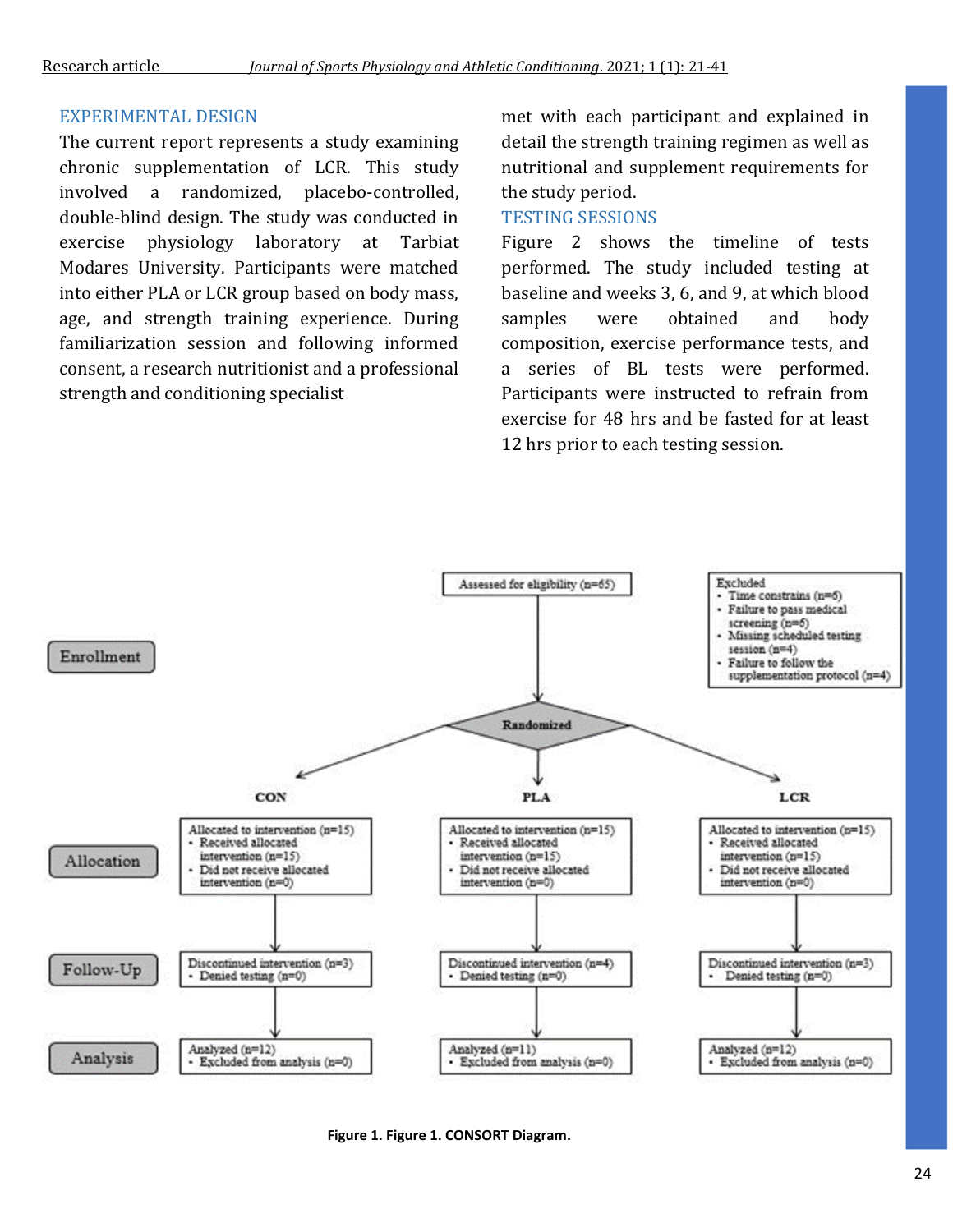### EXPERIMENTAL DESIGN

The current report represents a study examining chronic supplementation of LCR. This study involved a randomized, placebo-controlled, double-blind design. The study was conducted in exercise physiology laboratory at Tarbiat Modares University. Participants were matched into either PLA or LCR group based on body mass, age, and strength training experience. During familiarization session and following informed consent, a research nutritionist and a professional strength and conditioning specialist

met with each participant and explained in detail the strength training regimen as well as nutritional and supplement requirements for the study period.

### TESTING SESSIONS

Figure 2 shows the timeline of tests performed. The study included testing at baseline and weeks 3, 6, and 9, at which blood samples were obtained and body composition, exercise performance tests, and a series of BL tests were performed. Participants were instructed to refrain from exercise for 48 hrs and be fasted for at least 12 hrs prior to each testing session.



**Figure 1. Figure 1. CONSORT Diagram.**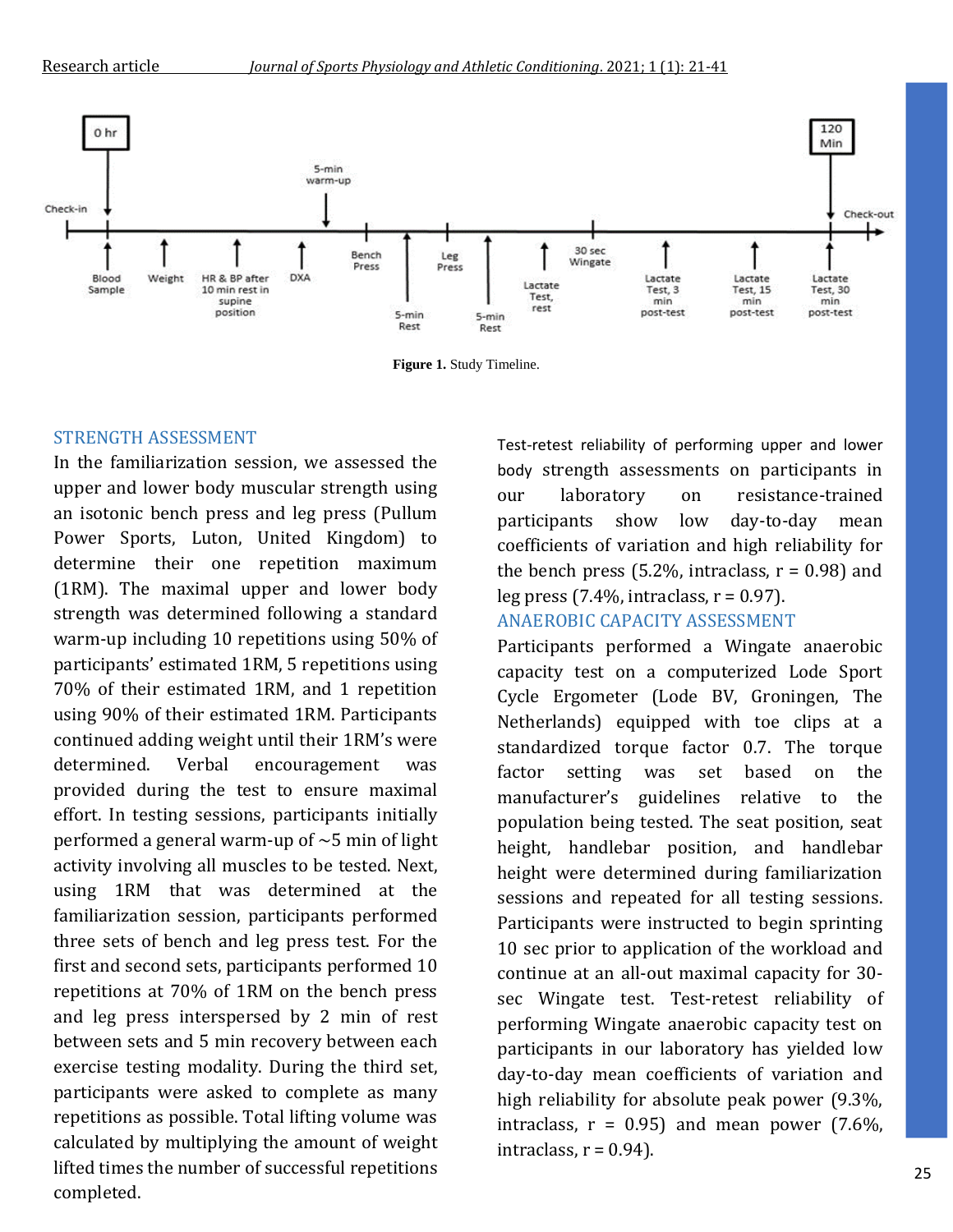

**Figure 1.** Study Timeline.

#### STRENGTH ASSESSMENT

In the familiarization session, we assessed the upper and lower body muscular strength using an isotonic bench press and leg press (Pullum Power Sports, Luton, United Kingdom) to determine their one repetition maximum (1RM). The maximal upper and lower body strength was determined following a standard warm-up including 10 repetitions using 50% of participants' estimated 1RM, 5 repetitions using 70% of their estimated 1RM, and 1 repetition using 90% of their estimated 1RM. Participants continued adding weight until their 1RM's were determined. Verbal encouragement was provided during the test to ensure maximal effort. In testing sessions, participants initially performed a general warm-up of  $\sim$  5 min of light activity involving all muscles to be tested. Next, using 1RM that was determined at the familiarization session, participants performed three sets of bench and leg press test. For the first and second sets, participants performed 10 repetitions at 70% of 1RM on the bench press and leg press interspersed by 2 min of rest between sets and 5 min recovery between each exercise testing modality. During the third set, participants were asked to complete as many repetitions as possible. Total lifting volume was calculated by multiplying the amount of weight lifted times the number of successful repetitions completed.

Test-retest reliability of performing upper and lower body strength assessments on participants in our laboratory on resistance-trained participants show low day-to-day mean coefficients of variation and high reliability for the bench press (5.2%, intraclass,  $r = 0.98$ ) and leg press  $(7.4\%$ , intraclass,  $r = 0.97$ ).

### ANAEROBIC CAPACITY ASSESSMENT

Participants performed a Wingate anaerobic capacity test on a computerized Lode Sport Cycle Ergometer (Lode BV, Groningen, The Netherlands) equipped with toe clips at a standardized torque factor 0.7. The torque factor setting was set based on the manufacturer's guidelines relative to the population being tested. The seat position, seat height, handlebar position, and handlebar height were determined during familiarization sessions and repeated for all testing sessions. Participants were instructed to begin sprinting 10 sec prior to application of the workload and continue at an all-out maximal capacity for 30 sec Wingate test. Test-retest reliability of performing Wingate anaerobic capacity test on participants in our laboratory has yielded low day-to-day mean coefficients of variation and high reliability for absolute peak power (9.3%, intraclass,  $r = 0.95$ ) and mean power (7.6%, intraclass,  $r = 0.94$ ).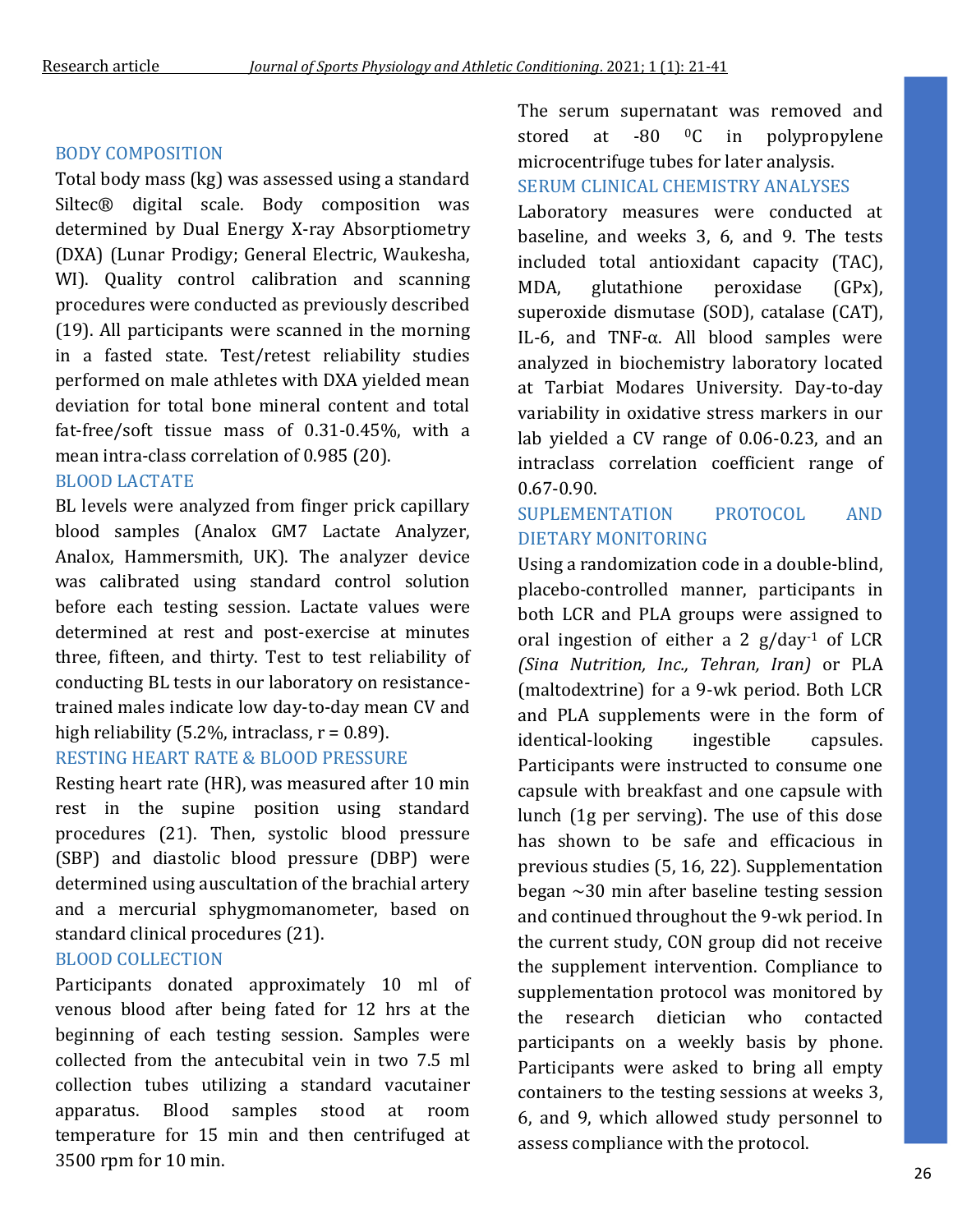#### BODY COMPOSITION

Total body mass (kg) was assessed using a standard Siltec® digital scale. Body composition was determined by Dual Energy X-ray Absorptiometry (DXA) (Lunar Prodigy; General Electric, Waukesha, WI). Quality control calibration and scanning procedures were conducted as previously described (19). All participants were scanned in the morning in a fasted state. Test/retest reliability studies performed on male athletes with DXA yielded mean deviation for total bone mineral content and total fat-free/soft tissue mass of 0.31-0.45%, with a mean intra-class correlation of 0.985 (20).

#### BLOOD LACTATE

BL levels were analyzed from finger prick capillary blood samples (Analox GM7 Lactate Analyzer, Analox, Hammersmith, UK). The analyzer device was calibrated using standard control solution before each testing session. Lactate values were determined at rest and post-exercise at minutes three, fifteen, and thirty. Test to test reliability of conducting BL tests in our laboratory on resistancetrained males indicate low day-to-day mean CV and high reliability (5.2%, intraclass,  $r = 0.89$ ).

### RESTING HEART RATE & BLOOD PRESSURE

Resting heart rate (HR), was measured after 10 min rest in the supine position using standard procedures (21). Then, systolic blood pressure (SBP) and diastolic blood pressure (DBP) were determined using auscultation of the brachial artery and a mercurial sphygmomanometer, based on standard clinical procedures (21).

### BLOOD COLLECTION

Participants donated approximately 10 ml of venous blood after being fated for 12 hrs at the beginning of each testing session. Samples were collected from the antecubital vein in two 7.5 ml collection tubes utilizing a standard vacutainer apparatus. Blood samples stood at room temperature for 15 min and then centrifuged at 3500 rpm for 10 min.

The serum supernatant was removed and stored at -80 <sup>o</sup>C in polypropylene microcentrifuge tubes for later analysis. SERUM CLINICAL CHEMISTRY ANALYSES

Laboratory measures were conducted at baseline, and weeks 3, 6, and 9. The tests included total antioxidant capacity (TAC), MDA, glutathione peroxidase (GPx), superoxide dismutase (SOD), catalase (CAT), IL-6, and TNF-α. All blood samples were analyzed in biochemistry laboratory located at Tarbiat Modares University. Day-to-day variability in oxidative stress markers in our lab yielded a CV range of 0.06-0.23, and an intraclass correlation coefficient range of 0.67-0.90.

### SUPLEMENTATION PROTOCOL AND DIETARY MONITORING

Using a randomization code in a double-blind, placebo-controlled manner, participants in both LCR and PLA groups were assigned to oral ingestion of either a 2  $g/day<sup>-1</sup>$  of LCR *(Sina Nutrition, Inc., Tehran, Iran)* or PLA (maltodextrine) for a 9-wk period. Both LCR and PLA supplements were in the form of identical-looking ingestible capsules. Participants were instructed to consume one capsule with breakfast and one capsule with lunch (1g per serving). The use of this dose has shown to be safe and efficacious in previous studies (5, 16, 22). Supplementation began  $\sim$ 30 min after baseline testing session and continued throughout the 9-wk period. In the current study, CON group did not receive the supplement intervention. Compliance to supplementation protocol was monitored by the research dietician who contacted participants on a weekly basis by phone. Participants were asked to bring all empty containers to the testing sessions at weeks 3, 6, and 9, which allowed study personnel to assess compliance with the protocol.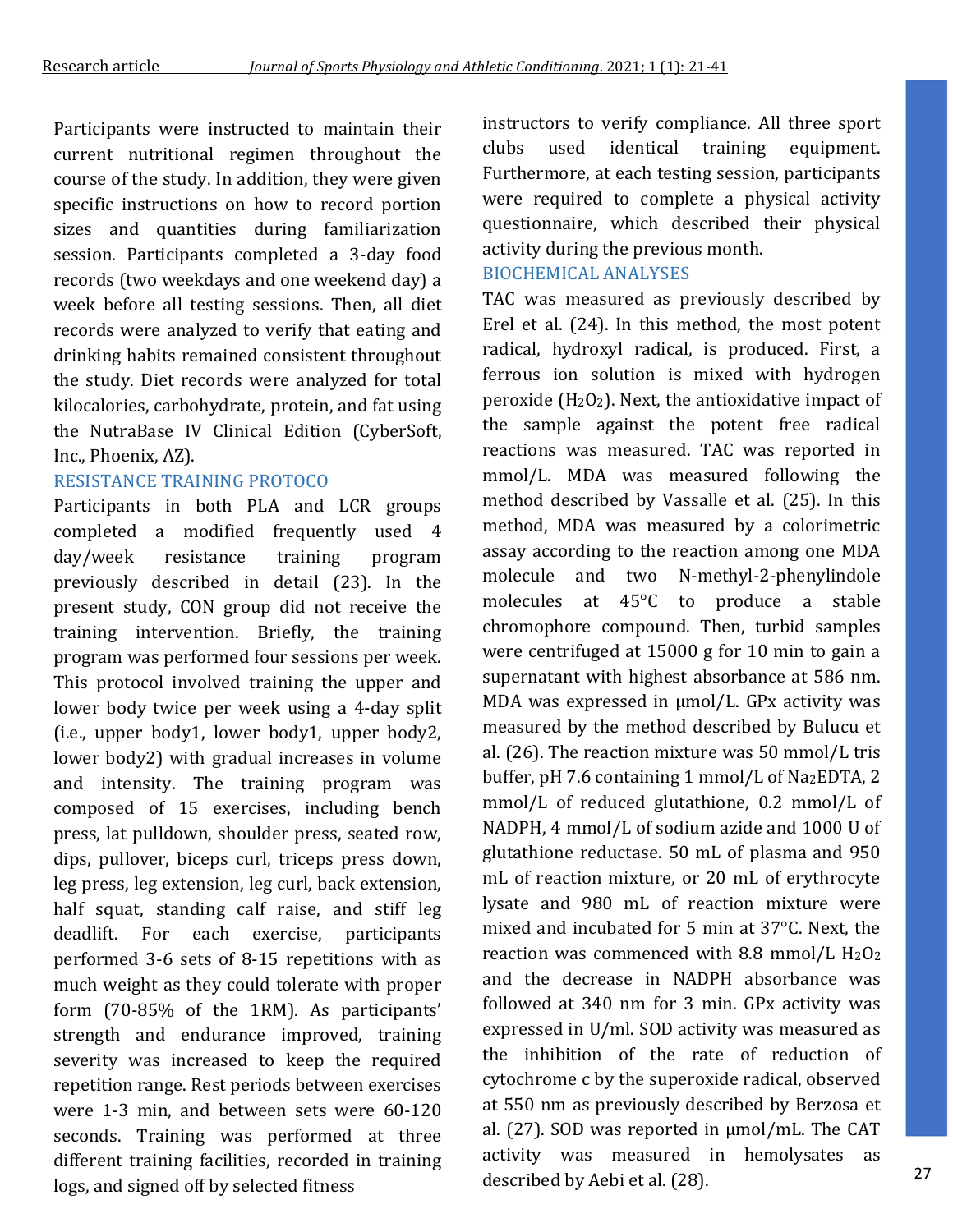Participants were instructed to maintain their current nutritional regimen throughout the course of the study. In addition, they were given specific instructions on how to record portion sizes and quantities during familiarization session. Participants completed a 3-day food records (two weekdays and one weekend day) a week before all testing sessions. Then, all diet records were analyzed to verify that eating and drinking habits remained consistent throughout the study. Diet records were analyzed for total kilocalories, carbohydrate, protein, and fat using the NutraBase IV Clinical Edition (CyberSoft, Inc., Phoenix, AZ).

### RESISTANCE TRAINING PROTOCO

Participants in both PLA and LCR groups completed a modified frequently used 4 day/week resistance training program previously described in detail (23). In the present study, CON group did not receive the training intervention. Briefly, the training program was performed four sessions per week. This protocol involved training the upper and lower body twice per week using a 4-day split (i.e., upper body1, lower body1, upper body2, lower body2) with gradual increases in volume and intensity. The training program was composed of 15 exercises, including bench press, lat pulldown, shoulder press, seated row, dips, pullover, biceps curl, triceps press down, leg press, leg extension, leg curl, back extension, half squat, standing calf raise, and stiff leg deadlift. For each exercise, participants performed 3-6 sets of 8-15 repetitions with as much weight as they could tolerate with proper form (70-85% of the 1RM). As participants' strength and endurance improved, training severity was increased to keep the required repetition range. Rest periods between exercises were 1-3 min, and between sets were 60-120 seconds. Training was performed at three different training facilities, recorded in training logs, and signed off by selected fitness

instructors to verify compliance. All three sport clubs used identical training equipment. Furthermore, at each testing session, participants were required to complete a physical activity questionnaire, which described their physical activity during the previous month.

### BIOCHEMICAL ANALYSES

TAC was measured as previously described by Erel et al. (24). In this method, the most potent radical, hydroxyl radical, is produced. First, a ferrous ion solution is mixed with hydrogen peroxide ( $H_2O_2$ ). Next, the antioxidative impact of the sample against the potent free radical reactions was measured. TAC was reported in mmol/L. MDA was measured following the method described by Vassalle et al. (25). In this method, MDA was measured by a colorimetric assay according to the reaction among one MDA molecule and two N-methyl-2-phenylindole molecules at 45°C to produce a stable chromophore compound. Then, turbid samples were centrifuged at 15000 g for 10 min to gain a supernatant with highest absorbance at 586 nm. MDA was expressed in μmol/L. GPx activity was measured by the method described by Bulucu et al. (26). The reaction mixture was 50 mmol/L tris buffer, pH 7.6 containing 1 mmol/L of Na2EDTA, 2 mmol/L of reduced glutathione, 0.2 mmol/L of NADPH, 4 mmol/L of sodium azide and 1000 U of glutathione reductase. 50 mL of plasma and 950 mL of reaction mixture, or 20 mL of erythrocyte lysate and 980 mL of reaction mixture were mixed and incubated for 5 min at 37°C. Next, the reaction was commenced with 8.8 mmol/L  $H_2O_2$ and the decrease in NADPH absorbance was followed at 340 nm for 3 min. GPx activity was expressed in U/ml. SOD activity was measured as the inhibition of the rate of reduction of cytochrome c by the superoxide radical, observed at 550 nm as previously described by Berzosa et al. (27). SOD was reported in μmol/mL. The CAT activity was measured in hemolysates as described by Aebi et al. (28).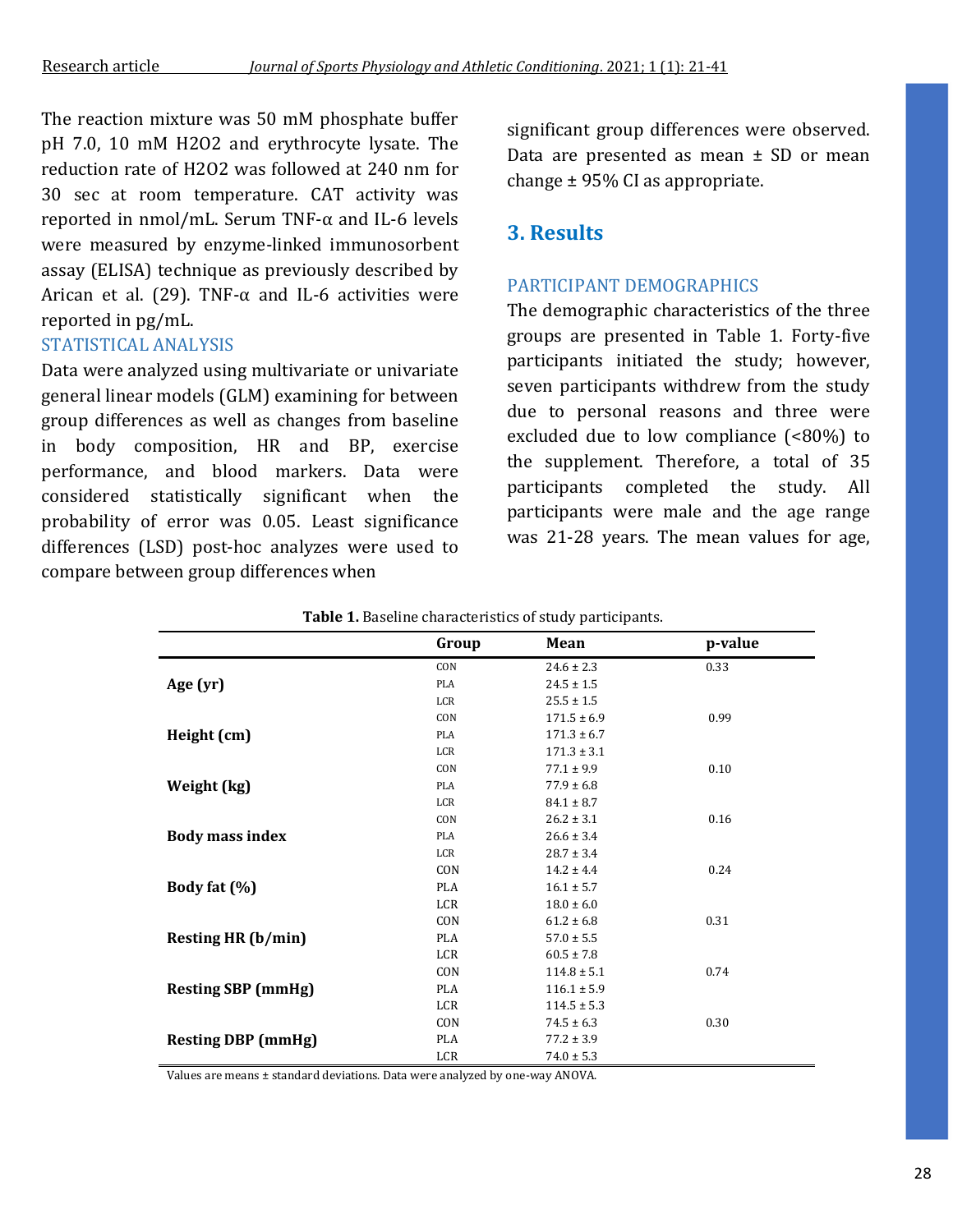The reaction mixture was 50 mM phosphate buffer pH 7.0, 10 mM H2O2 and erythrocyte lysate. The reduction rate of H2O2 was followed at 240 nm for 30 sec at room temperature. CAT activity was reported in nmol/mL. Serum TNF-α and IL-6 levels were measured by enzyme-linked immunosorbent assay (ELISA) technique as previously described by Arican et al. (29). TNF- $\alpha$  and IL-6 activities were reported in pg/mL.

### STATISTICAL ANALYSIS

Data were analyzed using multivariate or univariate general linear models (GLM) examining for between group differences as well as changes from baseline in body composition, HR and BP, exercise performance, and blood markers. Data were considered statistically significant when the probability of error was 0.05. Least significance differences (LSD) post-hoc analyzes were used to compare between group differences when

significant group differences were observed. Data are presented as mean  $\pm$  SD or mean change ± 95% CI as appropriate.

### **3. Results**

#### PARTICIPANT DEMOGRAPHICS

The demographic characteristics of the three groups are presented in Table 1. Forty-five participants initiated the study; however, seven participants withdrew from the study due to personal reasons and three were excluded due to low compliance (<80%) to the supplement. Therefore, a total of 35 participants completed the study. All participants were male and the age range was 21-28 years. The mean values for age,

|                           | Group      | Mean            | p-value |
|---------------------------|------------|-----------------|---------|
|                           | CON        | $24.6 \pm 2.3$  | 0.33    |
| Age (yr)                  | <b>PLA</b> | $24.5 \pm 1.5$  |         |
|                           | <b>LCR</b> | $25.5 \pm 1.5$  |         |
|                           | CON        | $171.5 \pm 6.9$ | 0.99    |
| Height (cm)               | <b>PLA</b> | $171.3 \pm 6.7$ |         |
|                           | LCR        | $171.3 \pm 3.1$ |         |
|                           | CON        | $77.1 \pm 9.9$  | 0.10    |
| Weight (kg)               | <b>PLA</b> | $77.9 \pm 6.8$  |         |
|                           | LCR        | $84.1 \pm 8.7$  |         |
|                           | CON        | $26.2 \pm 3.1$  | 0.16    |
| <b>Body mass index</b>    | <b>PLA</b> | $26.6 \pm 3.4$  |         |
|                           | <b>LCR</b> | $28.7 \pm 3.4$  |         |
|                           | CON        | $14.2 \pm 4.4$  | 0.24    |
| Body fat (%)              | <b>PLA</b> | $16.1 \pm 5.7$  |         |
|                           | <b>LCR</b> | $18.0 \pm 6.0$  |         |
|                           | CON        | $61.2 \pm 6.8$  | 0.31    |
| <b>Resting HR (b/min)</b> | <b>PLA</b> | $57.0 \pm 5.5$  |         |
|                           | <b>LCR</b> | $60.5 \pm 7.8$  |         |
|                           | CON        | $114.8 \pm 5.1$ | 0.74    |
| <b>Resting SBP (mmHg)</b> | <b>PLA</b> | $116.1 \pm 5.9$ |         |
|                           | <b>LCR</b> | $114.5 \pm 5.3$ |         |
|                           | CON        | $74.5 \pm 6.3$  | 0.30    |
| <b>Resting DBP</b> (mmHg) | <b>PLA</b> | $77.2 \pm 3.9$  |         |
|                           | <b>LCR</b> | $74.0 \pm 5.3$  |         |

**Table 1.** Baseline characteristics of study participants.

Values are means ± standard deviations. Data were analyzed by one-way ANOVA.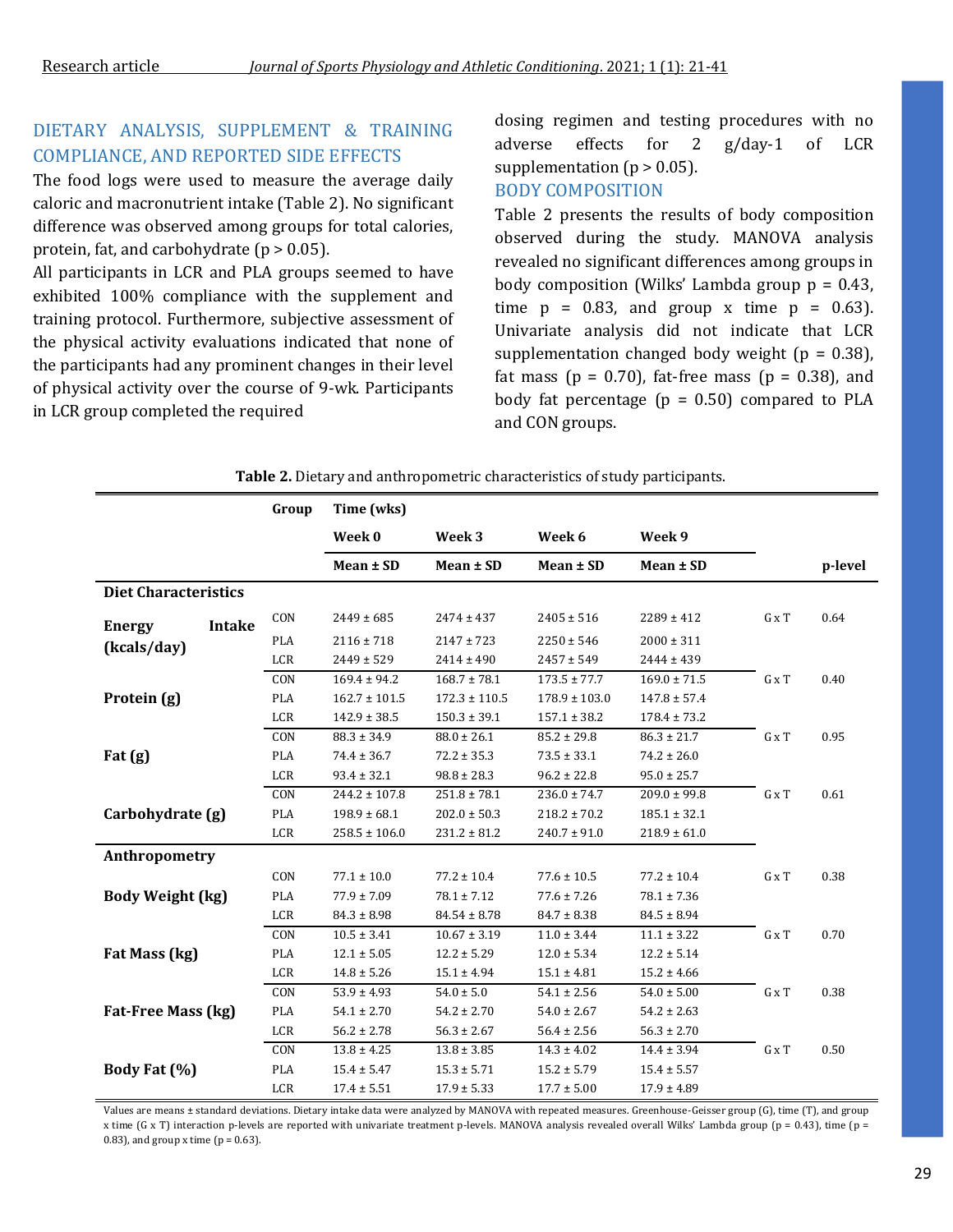### DIETARY ANALYSIS, SUPPLEMENT & TRAINING COMPLIANCE, AND REPORTED SIDE EFFECTS

The food logs were used to measure the average daily caloric and macronutrient intake (Table 2). No significant difference was observed among groups for total calories, protein, fat, and carbohydrate  $(p > 0.05)$ .

All participants in LCR and PLA groups seemed to have exhibited 100% compliance with the supplement and training protocol. Furthermore, subjective assessment of the physical activity evaluations indicated that none of the participants had any prominent changes in their level of physical activity over the course of 9-wk. Participants in LCR group completed the required

dosing regimen and testing procedures with no adverse effects for 2 g/day-1 of LCR supplementation ( $p > 0.05$ ).

#### BODY COMPOSITION

Table 2 presents the results of body composition observed during the study. MANOVA analysis revealed no significant differences among groups in body composition (Wilks' Lambda group  $p = 0.43$ , time  $p = 0.83$ , and group x time  $p = 0.63$ ). Univariate analysis did not indicate that LCR supplementation changed body weight ( $p = 0.38$ ), fat mass ( $p = 0.70$ ), fat-free mass ( $p = 0.38$ ), and body fat percentage  $(p = 0.50)$  compared to PLA and CON groups.

|                             |               | Group      | Time (wks)        |                   |                   |                  |       |         |
|-----------------------------|---------------|------------|-------------------|-------------------|-------------------|------------------|-------|---------|
|                             |               |            | Week 0            | Week 3            | Week 6            | Week 9           |       |         |
|                             |               |            | Mean ± SD         | Mean ± SD         | Mean ± SD         | Mean ± SD        |       | p-level |
| <b>Diet Characteristics</b> |               |            |                   |                   |                   |                  |       |         |
| <b>Energy</b>               | <b>Intake</b> | CON        | $2449 \pm 685$    | $2474 \pm 437$    | $2405 \pm 516$    | $2289 \pm 412$   | G x T | 0.64    |
| (kcals/day)                 |               | <b>PLA</b> | $2116 \pm 718$    | $2147 \pm 723$    | $2250 \pm 546$    | $2000 \pm 311$   |       |         |
|                             |               | LCR        | $2449 \pm 529$    | $2414 \pm 490$    | $2457 \pm 549$    | $2444 \pm 439$   |       |         |
|                             |               | CON        | $169.4 \pm 94.2$  | $168.7 \pm 78.1$  | $173.5 \pm 77.7$  | $169.0 \pm 71.5$ | G x T | 0.40    |
| Protein (g)                 |               | <b>PLA</b> | $162.7 \pm 101.5$ | $172.3 \pm 110.5$ | $178.9 \pm 103.0$ | $147.8 \pm 57.4$ |       |         |
|                             |               | LCR        | $142.9 \pm 38.5$  | $150.3 \pm 39.1$  | $157.1 \pm 38.2$  | $178.4 \pm 73.2$ |       |         |
|                             |               | CON        | $88.3 \pm 34.9$   | $88.0 \pm 26.1$   | $85.2 \pm 29.8$   | $86.3 \pm 21.7$  | G x T | 0.95    |
| Fat $(g)$                   |               | PLA        | $74.4 \pm 36.7$   | $72.2 \pm 35.3$   | $73.5 \pm 33.1$   | $74.2 \pm 26.0$  |       |         |
|                             |               | LCR        | $93.4 \pm 32.1$   | $98.8 \pm 28.3$   | $96.2 \pm 22.8$   | $95.0 \pm 25.7$  |       |         |
|                             |               | CON        | $244.2 \pm 107.8$ | $251.8 \pm 78.1$  | $236.0 \pm 74.7$  | $209.0 \pm 99.8$ | G x T | 0.61    |
| Carbohydrate (g)            |               | <b>PLA</b> | $198.9 \pm 68.1$  | $202.0 \pm 50.3$  | $218.2 \pm 70.2$  | $185.1 \pm 32.1$ |       |         |
|                             |               | LCR        | $258.5 \pm 106.0$ | $231.2 \pm 81.2$  | $240.7 \pm 91.0$  | $218.9 \pm 61.0$ |       |         |
| Anthropometry               |               |            |                   |                   |                   |                  |       |         |
|                             |               | CON        | $77.1 \pm 10.0$   | $77.2 \pm 10.4$   | $77.6 \pm 10.5$   | $77.2 \pm 10.4$  | G x T | 0.38    |
| <b>Body Weight (kg)</b>     |               | PLA        | $77.9 \pm 7.09$   | $78.1 \pm 7.12$   | $77.6 \pm 7.26$   | $78.1 \pm 7.36$  |       |         |
|                             |               | LCR        | $84.3 \pm 8.98$   | $84.54 \pm 8.78$  | $84.7 \pm 8.38$   | $84.5 \pm 8.94$  |       |         |
|                             |               | CON        | $10.5 \pm 3.41$   | $10.67 \pm 3.19$  | $11.0 \pm 3.44$   | $11.1 \pm 3.22$  | G x T | 0.70    |
| Fat Mass (kg)               |               | PLA        | $12.1 \pm 5.05$   | $12.2 \pm 5.29$   | $12.0 \pm 5.34$   | $12.2 \pm 5.14$  |       |         |
|                             |               | LCR        | $14.8 \pm 5.26$   | $15.1 \pm 4.94$   | $15.1 \pm 4.81$   | $15.2 \pm 4.66$  |       |         |
|                             |               | CON        | $53.9 \pm 4.93$   | $54.0 \pm 5.0$    | $54.1 \pm 2.56$   | $54.0 \pm 5.00$  | G x T | 0.38    |
| Fat-Free Mass (kg)          |               | PLA        | $54.1 \pm 2.70$   | $54.2 \pm 2.70$   | $54.0 \pm 2.67$   | $54.2 \pm 2.63$  |       |         |
|                             |               | LCR        | $56.2 \pm 2.78$   | $56.3 \pm 2.67$   | $56.4 \pm 2.56$   | $56.3 \pm 2.70$  |       |         |
|                             |               | CON        | $13.8 \pm 4.25$   | $13.8 \pm 3.85$   | $14.3 \pm 4.02$   | $14.4 \pm 3.94$  | G x T | 0.50    |
| Body Fat (%)                |               | PLA        | $15.4 \pm 5.47$   | $15.3 \pm 5.71$   | $15.2 \pm 5.79$   | $15.4 \pm 5.57$  |       |         |
|                             |               | LCR        | $17.4 \pm 5.51$   | $17.9 \pm 5.33$   | $17.7 \pm 5.00$   | $17.9 \pm 4.89$  |       |         |

**Table 2.** Dietary and anthropometric characteristics of study participants.

Values are means ± standard deviations. Dietary intake data were analyzed by MANOVA with repeated measures. Greenhouse-Geisser group (G), time (T), and group x time (G x T) interaction p-levels are reported with univariate treatment p-levels. MANOVA analysis revealed overall Wilks' Lambda group (p = 0.43), time (p = 0.83), and group x time ( $p = 0.63$ ).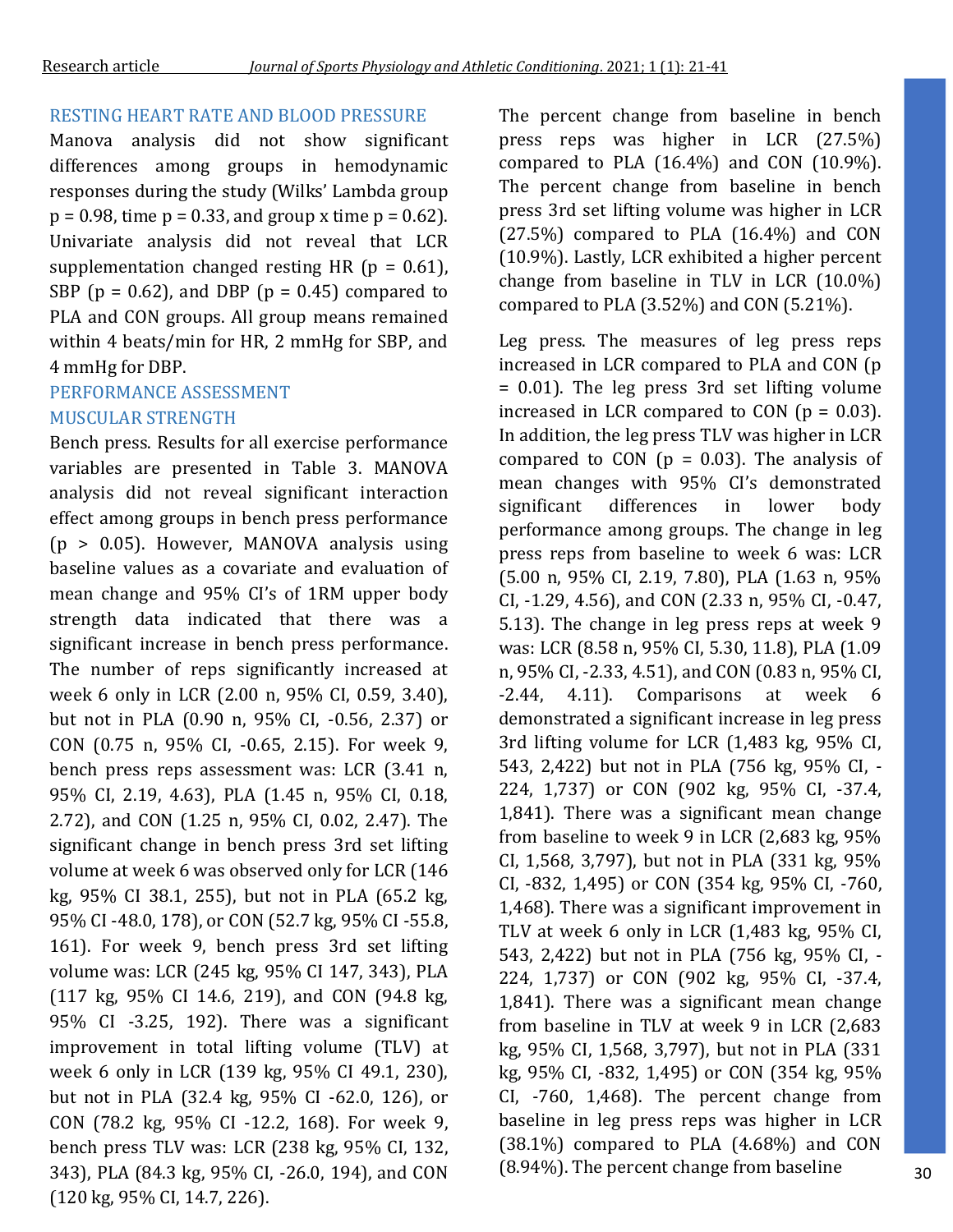### RESTING HEART RATE AND BLOOD PRESSURE

Manova analysis did not show significant differences among groups in hemodynamic responses during the study (Wilks' Lambda group  $p = 0.98$ , time  $p = 0.33$ , and group x time  $p = 0.62$ ). Univariate analysis did not reveal that LCR supplementation changed resting HR ( $p = 0.61$ ), SBP ( $p = 0.62$ ), and DBP ( $p = 0.45$ ) compared to PLA and CON groups. All group means remained within 4 beats/min for HR, 2 mmHg for SBP, and 4 mmHg for DBP.

### PERFORMANCE ASSESSMENT MUSCULAR STRENGTH

Bench press. Results for all exercise performance variables are presented in Table 3. MANOVA analysis did not reveal significant interaction effect among groups in bench press performance (p > 0.05). However, MANOVA analysis using baseline values as a covariate and evaluation of mean change and 95% CI's of 1RM upper body strength data indicated that there was a significant increase in bench press performance. The number of reps significantly increased at week 6 only in LCR (2.00 n, 95% CI, 0.59, 3.40), but not in PLA (0.90 n, 95% CI, -0.56, 2.37) or CON (0.75 n, 95% CI, -0.65, 2.15). For week 9, bench press reps assessment was: LCR (3.41 n, 95% CI, 2.19, 4.63), PLA (1.45 n, 95% CI, 0.18, 2.72), and CON (1.25 n, 95% CI, 0.02, 2.47). The significant change in bench press 3rd set lifting volume at week 6 was observed only for LCR (146 kg, 95% CI 38.1, 255), but not in PLA (65.2 kg, 95% CI -48.0, 178), or CON (52.7 kg, 95% CI -55.8, 161). For week 9, bench press 3rd set lifting volume was: LCR (245 kg, 95% CI 147, 343), PLA (117 kg, 95% CI 14.6, 219), and CON (94.8 kg, 95% CI -3.25, 192). There was a significant improvement in total lifting volume (TLV) at week 6 only in LCR (139 kg, 95% CI 49.1, 230), but not in PLA (32.4 kg, 95% CI -62.0, 126), or CON (78.2 kg, 95% CI -12.2, 168). For week 9, bench press TLV was: LCR (238 kg, 95% CI, 132, 343), PLA (84.3 kg, 95% CI, -26.0, 194), and CON (120 kg, 95% CI, 14.7, 226).

The percent change from baseline in bench press reps was higher in LCR (27.5%) compared to PLA  $(16.4\%)$  and CON  $(10.9\%)$ . The percent change from baseline in bench press 3rd set lifting volume was higher in LCR  $(27.5%)$  compared to PLA  $(16.4%)$  and CON (10.9%). Lastly, LCR exhibited a higher percent change from baseline in TLV in LCR (10.0%) compared to PLA (3.52%) and CON (5.21%).

Leg press. The measures of leg press reps increased in LCR compared to PLA and CON (p = 0.01). The leg press 3rd set lifting volume increased in LCR compared to CON  $(p = 0.03)$ . In addition, the leg press TLV was higher in LCR compared to CON ( $p = 0.03$ ). The analysis of mean changes with 95% CI's demonstrated significant differences in lower body performance among groups. The change in leg press reps from baseline to week 6 was: LCR (5.00 n, 95% CI, 2.19, 7.80), PLA (1.63 n, 95% CI, -1.29, 4.56), and CON (2.33 n, 95% CI, -0.47, 5.13). The change in leg press reps at week 9 was: LCR (8.58 n, 95% CI, 5.30, 11.8), PLA (1.09 n, 95% CI, -2.33, 4.51), and CON (0.83 n, 95% CI, -2.44, 4.11). Comparisons at week 6 demonstrated a significant increase in leg press 3rd lifting volume for LCR (1,483 kg, 95% CI, 543, 2,422) but not in PLA (756 kg, 95% CI, - 224, 1,737) or CON (902 kg, 95% CI, -37.4, 1,841). There was a significant mean change from baseline to week 9 in LCR (2,683 kg, 95% CI, 1,568, 3,797), but not in PLA (331 kg, 95% CI, -832, 1,495) or CON (354 kg, 95% CI, -760, 1,468). There was a significant improvement in TLV at week 6 only in LCR (1,483 kg, 95% CI, 543, 2,422) but not in PLA (756 kg, 95% CI, - 224, 1,737) or CON (902 kg, 95% CI, -37.4, 1,841). There was a significant mean change from baseline in TLV at week 9 in LCR (2,683 kg, 95% CI, 1,568, 3,797), but not in PLA (331 kg, 95% CI, -832, 1,495) or CON (354 kg, 95% CI, -760, 1,468). The percent change from baseline in leg press reps was higher in LCR (38.1%) compared to PLA (4.68%) and CON (8.94%). The percent change from baseline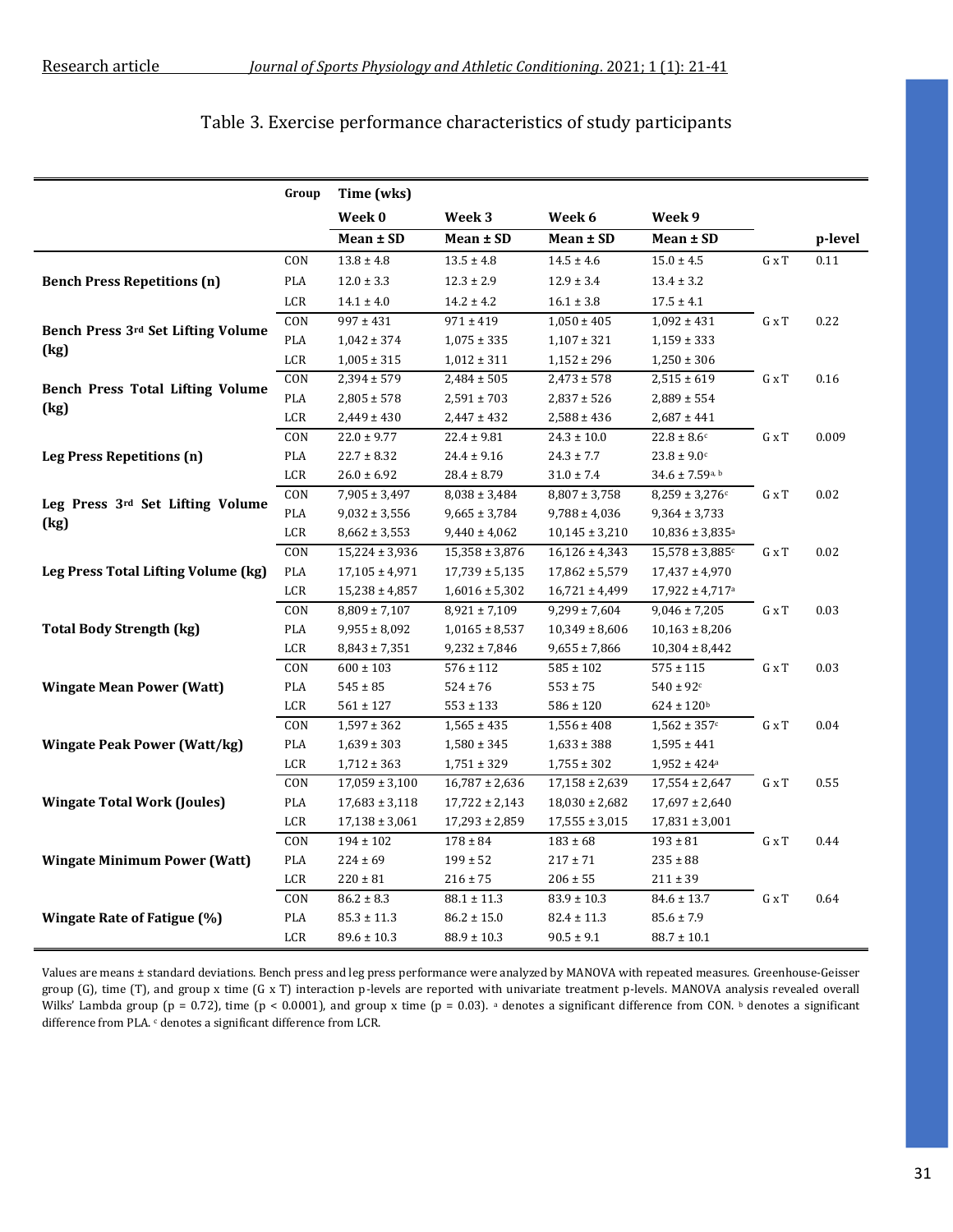### Table 3. Exercise performance characteristics of study participants

|                                         | Group          | Time (wks)         |                    |                      |                                 |                          |         |
|-----------------------------------------|----------------|--------------------|--------------------|----------------------|---------------------------------|--------------------------|---------|
|                                         |                | Week 0             | Week 3             | Week 6               | Week 9                          |                          |         |
|                                         |                | Mean ± SD          | Mean ± SD          | Mean ± SD            | Mean ± SD                       |                          | p-level |
| <b>Bench Press Repetitions (n)</b>      | CON            | $13.8 \pm 4.8$     | $13.5 \pm 4.8$     | $14.5 \pm 4.6$       | $15.0 \pm 4.5$                  | G x T                    | 0.11    |
|                                         | PLA            | $12.0 \pm 3.3$     | $12.3 \pm 2.9$     | $12.9 \pm 3.4$       | $13.4 \pm 3.2$                  |                          |         |
|                                         | $_{\rm LCR}$   | $14.1 \pm 4.0$     | $14.2 \pm 4.2$     | $16.1 \pm 3.8$       | $17.5 \pm 4.1$                  |                          |         |
|                                         | CON            | $997 \pm 431$      | $971 \pm 419$      | $1,050 \pm 405$      | $1,092 \pm 431$                 | G x T                    | 0.22    |
| Bench Press 3rd Set Lifting Volume      | PLA            | $1,042 \pm 374$    | $1,075 \pm 335$    | $1,107 \pm 321$      | $1,159 \pm 333$                 |                          |         |
| (kg)                                    | LCR            | $1,005 \pm 315$    | $1,012 \pm 311$    | $1,152 \pm 296$      | $1,250 \pm 306$                 |                          |         |
|                                         | CON            | $2,394 \pm 579$    | $2,484 \pm 505$    | $2,473 \pm 578$      | $2,515 \pm 619$                 | ${\bf G} \times {\bf T}$ | 0.16    |
| <b>Bench Press Total Lifting Volume</b> | $\mathsf{PLA}$ | $2,805 \pm 578$    | $2,591 \pm 703$    | $2,837 \pm 526$      | $2,889 \pm 554$                 |                          |         |
| (kg)                                    | LCR            | $2,449 \pm 430$    | $2,447 \pm 432$    | $2,588 \pm 436$      | $2,687 \pm 441$                 |                          |         |
|                                         | CON            | $22.0 \pm 9.77$    | $22.4 \pm 9.81$    | $24.3 \pm 10.0$      | $22.8 \pm 8.6c$                 | G x T                    | 0.009   |
| <b>Leg Press Repetitions (n)</b>        | PLA            | $22.7 \pm 8.32$    | $24.4 \pm 9.16$    | $24.3 \pm 7.7$       | $23.8\pm9.0^{\rm c}$            |                          |         |
|                                         | $_{\rm LCR}$   | $26.0 \pm 6.92$    | $28.4 \pm 8.79$    | $31.0 \pm 7.4$       | $34.6 \pm 7.59$ <sub>a, b</sub> |                          |         |
|                                         | CON            | $7,905 \pm 3,497$  | $8,038 \pm 3,484$  | $8,807 \pm 3,758$    | $8,259 \pm 3,276$ c             | G x T                    | 0.02    |
| Leg Press 3rd Set Lifting Volume        | $\mathsf{PLA}$ | $9,032 \pm 3,556$  | $9,665 \pm 3,784$  | $9,788 \pm 4,036$    | $9,364 \pm 3,733$               |                          |         |
| (kg)                                    | LCR            | $8,662 \pm 3,553$  | $9,440 \pm 4,062$  | $10,\!145\pm3,\!210$ | $10,836 \pm 3,835$ <sup>a</sup> |                          |         |
|                                         | CON            | $15,224 \pm 3,936$ | $15,358 \pm 3,876$ | $16,126 \pm 4,343$   | $15,578 \pm 3,885$ c            | G x T                    | 0.02    |
| Leg Press Total Lifting Volume (kg)     | PLA            | $17,105 \pm 4,971$ | $17,739 \pm 5,135$ | $17,862 \pm 5,579$   | $17,437 \pm 4,970$              |                          |         |
|                                         | LCR            | $15,238 \pm 4,857$ | $1,6016 \pm 5,302$ | $16,721 \pm 4,499$   | $17,922 \pm 4,717$ <sup>a</sup> |                          |         |
|                                         | CON            | $8,809 \pm 7,107$  | $8,921 \pm 7,109$  | $9,299 \pm 7,604$    | $9,046 \pm 7,205$               | G x T                    | 0.03    |
| <b>Total Body Strength (kg)</b>         | PLA            | $9,955 \pm 8,092$  | $1,0165 \pm 8,537$ | $10,349 \pm 8,606$   | $10,163 \pm 8,206$              |                          |         |
|                                         | LCR            | $8,843 \pm 7,351$  | $9,232 \pm 7,846$  | $9,655 \pm 7,866$    | $10,304 \pm 8,442$              |                          |         |
|                                         | CON            | $600 \pm 103$      | $576 \pm 112$      | $585 \pm 102$        | $575 \pm 115$                   | ${\bf G} \times {\bf T}$ | 0.03    |
| <b>Wingate Mean Power (Watt)</b>        | <b>PLA</b>     | $545 \pm 85$       | $524 \pm 76$       | $553 \pm 75$         | $540 \pm 92$ c                  |                          |         |
|                                         | $_{\rm LCR}$   | $561 \pm 127$      | $553 \pm 133$      | $586 \pm 120$        | $624 \pm 120$ <sup>b</sup>      |                          |         |
|                                         | CON            | $1,597 \pm 362$    | $1,565 \pm 435$    | $1,556 \pm 408$      | $1,562 \pm 357$ c               | G x T                    | 0.04    |
| <b>Wingate Peak Power (Watt/kg)</b>     | $\mathsf{PLA}$ | $1,639 \pm 303$    | $1,\!580\pm345$    | $1,\!633\pm388$      | $1,595 \pm 441$                 |                          |         |
|                                         | $_{\rm LCR}$   | $1,712 \pm 363$    | $1,751 \pm 329$    | $1,755 \pm 302$      | $1,\!952\pm424^{\rm a}$         |                          |         |
| <b>Wingate Total Work (Joules)</b>      | CON            | $17,059 \pm 3,100$ | $16,787 \pm 2,636$ | $17,158 \pm 2,639$   | $17,554 \pm 2,647$              | G x T                    | 0.55    |
|                                         | PLA            | $17,683 \pm 3,118$ | $17,722 \pm 2,143$ | $18,030 \pm 2,682$   | $17,697 \pm 2,640$              |                          |         |
|                                         | $_{\rm LCR}$   | $17,138 \pm 3,061$ | $17,293 \pm 2,859$ | $17,555 \pm 3,015$   | $17,831 \pm 3,001$              |                          |         |
| <b>Wingate Minimum Power (Watt)</b>     | CON            | $194 \pm 102$      | $178 \pm 84$       | $183 \pm 68$         | $193 \pm 81$                    | ${\bf G} \ge {\bf T}$    | 0.44    |
|                                         | PLA            | $224 \pm 69$       | $199 \pm 52$       | $217 \pm 71$         | $235 \pm 88$                    |                          |         |
|                                         | LCR            | $220\pm81$         | $216 \pm 75$       | $206 \pm 55$         | $211 \pm 39$                    |                          |         |
| Wingate Rate of Fatigue (%)             | CON            | $86.2 \pm 8.3$     | $88.1 \pm 11.3$    | $83.9 \pm 10.3$      | $84.6 \pm 13.7$                 | G x T                    | 0.64    |
|                                         | PLA            | $85.3 \pm 11.3$    | $86.2 \pm 15.0$    | $82.4 \pm 11.3$      | $85.6 \pm 7.9$                  |                          |         |
|                                         | LCR            | $89.6 \pm 10.3$    | $88.9 \pm 10.3$    | $90.5 \pm 9.1$       | $88.7 \pm 10.1$                 |                          |         |

Values are means ± standard deviations. Bench press and leg press performance were analyzed by MANOVA with repeated measures. Greenhouse-Geisser group (G), time (T), and group x time (G x T) interaction p-levels are reported with univariate treatment p-levels. MANOVA analysis revealed overall Wilks' Lambda group (p = 0.72), time (p < 0.0001), and group x time (p = 0.03). <sup>a</sup> denotes a significant difference from CON. <sup>b</sup> denotes a significant difference from PLA. c denotes a significant difference from LCR.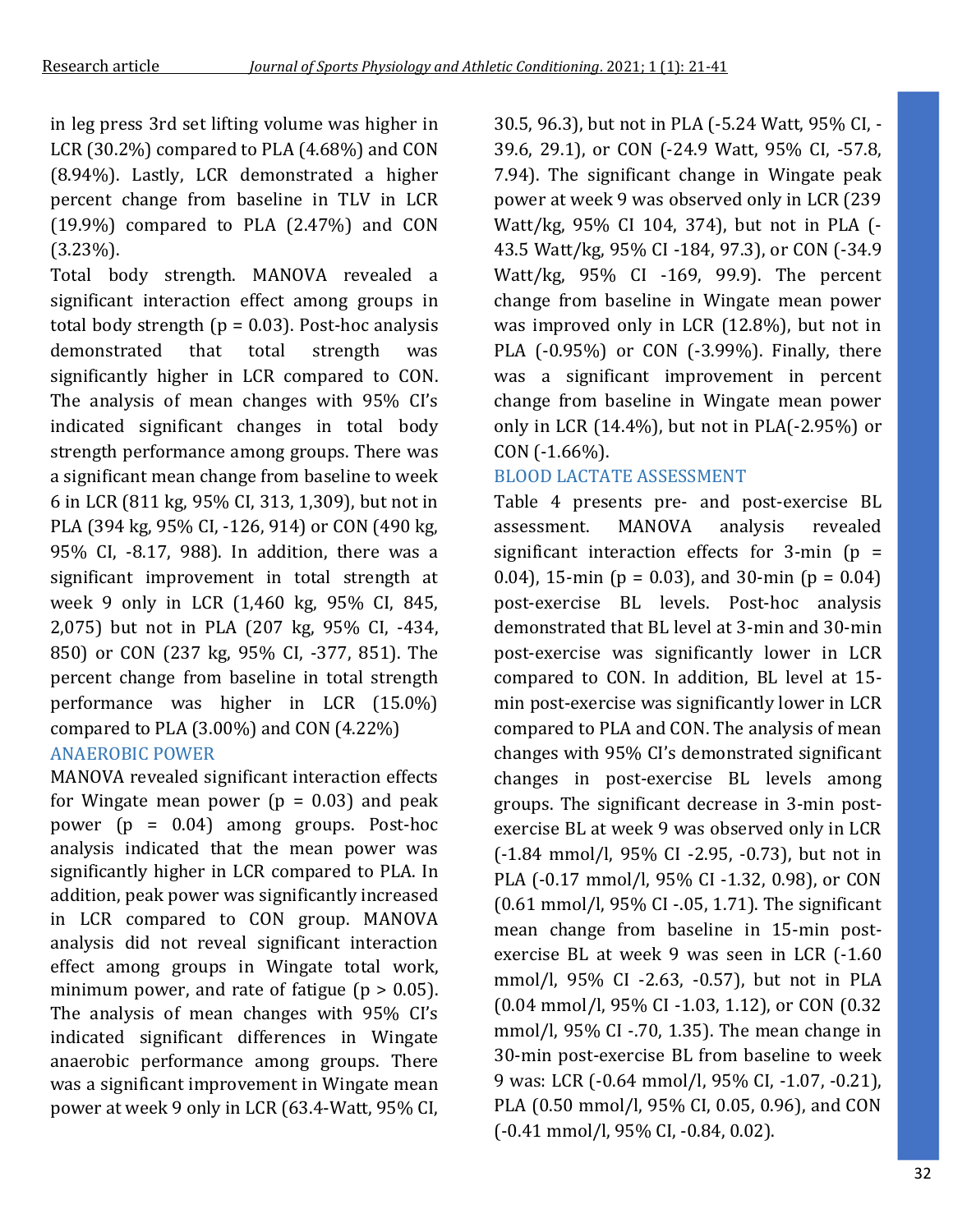in leg press 3rd set lifting volume was higher in LCR (30.2%) compared to PLA (4.68%) and CON (8.94%). Lastly, LCR demonstrated a higher percent change from baseline in TLV in LCR  $(19.9\%)$  compared to PLA  $(2.47\%)$  and CON (3.23%).

Total body strength. MANOVA revealed a significant interaction effect among groups in total body strength ( $p = 0.03$ ). Post-hoc analysis demonstrated that total strength was significantly higher in LCR compared to CON. The analysis of mean changes with 95% CI's indicated significant changes in total body strength performance among groups. There was a significant mean change from baseline to week 6 in LCR (811 kg, 95% CI, 313, 1,309), but not in PLA (394 kg, 95% CI, -126, 914) or CON (490 kg, 95% CI, -8.17, 988). In addition, there was a significant improvement in total strength at week 9 only in LCR (1,460 kg, 95% CI, 845, 2,075) but not in PLA (207 kg, 95% CI, -434, 850) or CON (237 kg, 95% CI, -377, 851). The percent change from baseline in total strength performance was higher in LCR (15.0%) compared to PLA (3.00%) and CON (4.22%) ANAEROBIC POWER

MANOVA revealed significant interaction effects for Wingate mean power  $(p = 0.03)$  and peak power (p = 0.04) among groups. Post-hoc analysis indicated that the mean power was significantly higher in LCR compared to PLA. In addition, peak power was significantly increased in LCR compared to CON group. MANOVA analysis did not reveal significant interaction effect among groups in Wingate total work, minimum power, and rate of fatigue ( $p > 0.05$ ). The analysis of mean changes with 95% CI's indicated significant differences in Wingate anaerobic performance among groups. There was a significant improvement in Wingate mean power at week 9 only in LCR (63.4-Watt, 95% CI,

30.5, 96.3), but not in PLA (-5.24 Watt, 95% CI, - 39.6, 29.1), or CON (-24.9 Watt, 95% CI, -57.8, 7.94). The significant change in Wingate peak power at week 9 was observed only in LCR (239 Watt/kg, 95% CI 104, 374), but not in PLA (- 43.5 Watt/kg, 95% CI -184, 97.3), or CON (-34.9 Watt/kg, 95% CI -169, 99.9). The percent change from baseline in Wingate mean power was improved only in LCR (12.8%), but not in PLA (-0.95%) or CON (-3.99%). Finally, there was a significant improvement in percent change from baseline in Wingate mean power only in LCR (14.4%), but not in PLA(-2.95%) or CON (-1.66%).

### BLOOD LACTATE ASSESSMENT

Table 4 presents pre- and post-exercise BL assessment. MANOVA analysis revealed significant interaction effects for  $3$ -min ( $p =$ 0.04), 15-min ( $p = 0.03$ ), and 30-min ( $p = 0.04$ ) post-exercise BL levels. Post-hoc analysis demonstrated that BL level at 3-min and 30-min post-exercise was significantly lower in LCR compared to CON. In addition, BL level at 15 min post-exercise was significantly lower in LCR compared to PLA and CON. The analysis of mean changes with 95% CI's demonstrated significant changes in post-exercise BL levels among groups. The significant decrease in 3-min postexercise BL at week 9 was observed only in LCR (-1.84 mmol/l, 95% CI -2.95, -0.73), but not in PLA (-0.17 mmol/l, 95% CI -1.32, 0.98), or CON (0.61 mmol/l, 95% CI -.05, 1.71). The significant mean change from baseline in 15-min postexercise BL at week 9 was seen in LCR (-1.60 mmol/l, 95% CI -2.63, -0.57), but not in PLA (0.04 mmol/l, 95% CI -1.03, 1.12), or CON (0.32 mmol/l, 95% CI -.70, 1.35). The mean change in 30-min post-exercise BL from baseline to week 9 was: LCR (-0.64 mmol/l, 95% CI, -1.07, -0.21), PLA (0.50 mmol/l, 95% CI, 0.05, 0.96), and CON (-0.41 mmol/l, 95% CI, -0.84, 0.02).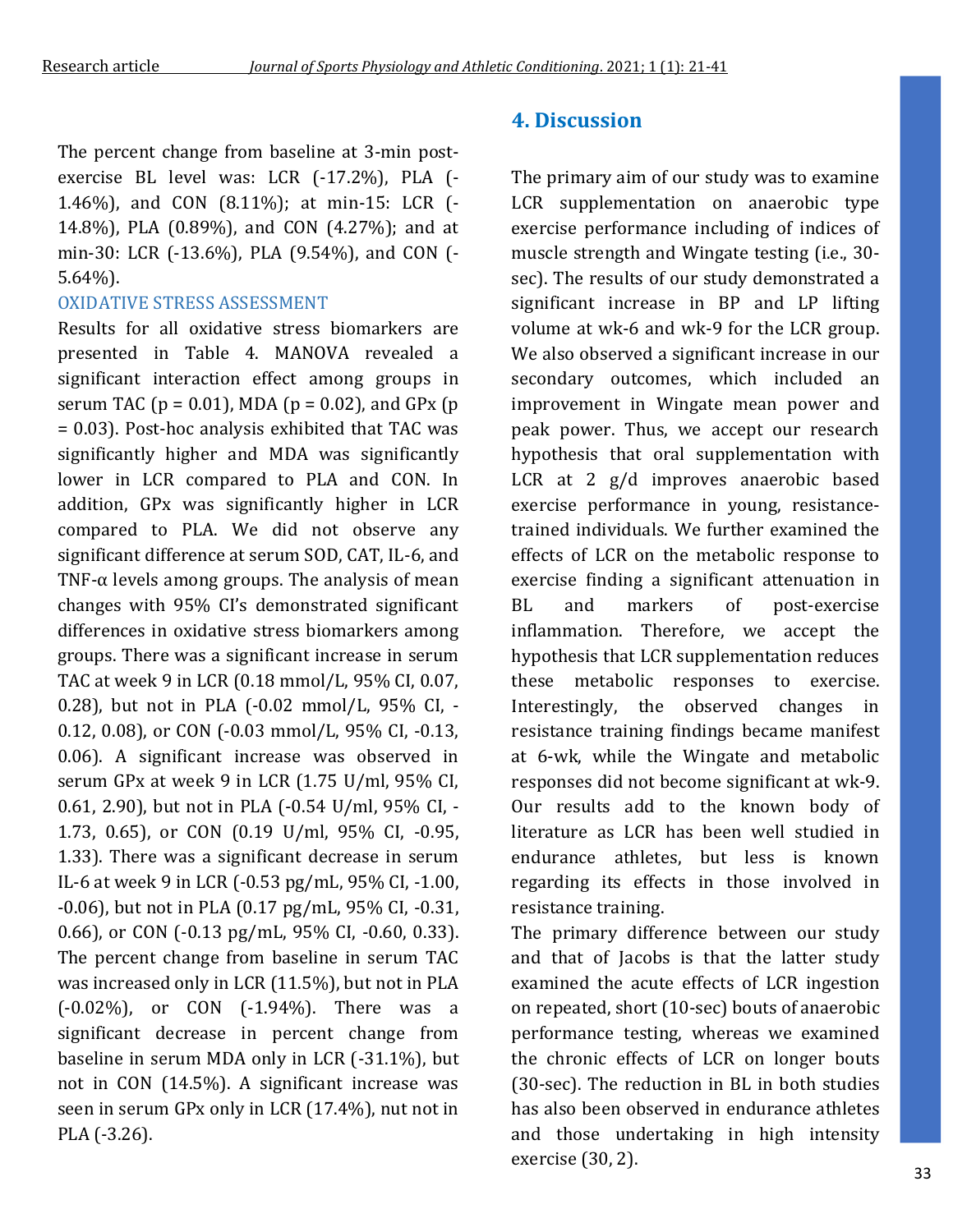The percent change from baseline at 3-min postexercise BL level was: LCR (-17.2%), PLA (- 1.46%), and CON (8.11%); at min-15: LCR (- 14.8%), PLA (0.89%), and CON (4.27%); and at min-30: LCR (-13.6%), PLA (9.54%), and CON (- 5.64%).

### OXIDATIVE STRESS ASSESSMENT

Results for all oxidative stress biomarkers are presented in Table 4. MANOVA revealed a significant interaction effect among groups in serum TAC ( $p = 0.01$ ), MDA ( $p = 0.02$ ), and GPx ( $p = 0.01$ ) = 0.03). Post-hoc analysis exhibited that TAC was significantly higher and MDA was significantly lower in LCR compared to PLA and CON. In addition, GPx was significantly higher in LCR compared to PLA. We did not observe any significant difference at serum SOD, CAT, IL-6, and TNF- $\alpha$  levels among groups. The analysis of mean changes with 95% CI's demonstrated significant differences in oxidative stress biomarkers among groups. There was a significant increase in serum TAC at week 9 in LCR (0.18 mmol/L, 95% CI, 0.07, 0.28), but not in PLA (-0.02 mmol/L, 95% CI, - 0.12, 0.08), or CON (-0.03 mmol/L, 95% CI, -0.13, 0.06). A significant increase was observed in serum GPx at week 9 in LCR (1.75 U/ml, 95% CI, 0.61, 2.90), but not in PLA (-0.54 U/ml, 95% CI, - 1.73, 0.65), or CON (0.19 U/ml, 95% CI, -0.95, 1.33). There was a significant decrease in serum IL-6 at week 9 in LCR (-0.53 pg/mL, 95% CI, -1.00, -0.06), but not in PLA (0.17 pg/mL, 95% CI, -0.31, 0.66), or CON (-0.13 pg/mL, 95% CI, -0.60, 0.33). The percent change from baseline in serum TAC was increased only in LCR (11.5%), but not in PLA (-0.02%), or CON (-1.94%). There was a significant decrease in percent change from baseline in serum MDA only in LCR (-31.1%), but not in CON (14.5%). A significant increase was seen in serum GPx only in LCR (17.4%), nut not in PLA (-3.26).

### **4. Discussion**

The primary aim of our study was to examine LCR supplementation on anaerobic type exercise performance including of indices of muscle strength and Wingate testing (i.e., 30 sec). The results of our study demonstrated a significant increase in BP and LP lifting volume at wk-6 and wk-9 for the LCR group. We also observed a significant increase in our secondary outcomes, which included an improvement in Wingate mean power and peak power. Thus, we accept our research hypothesis that oral supplementation with LCR at 2 g/d improves anaerobic based exercise performance in young, resistancetrained individuals. We further examined the effects of LCR on the metabolic response to exercise finding a significant attenuation in BL and markers of post-exercise inflammation. Therefore, we accept the hypothesis that LCR supplementation reduces these metabolic responses to exercise. Interestingly, the observed changes in resistance training findings became manifest at 6-wk, while the Wingate and metabolic responses did not become significant at wk-9. Our results add to the known body of literature as LCR has been well studied in endurance athletes, but less is known regarding its effects in those involved in resistance training.

The primary difference between our study and that of Jacobs is that the latter study examined the acute effects of LCR ingestion on repeated, short (10-sec) bouts of anaerobic performance testing, whereas we examined the chronic effects of LCR on longer bouts (30-sec). The reduction in BL in both studies has also been observed in endurance athletes and those undertaking in high intensity exercise (30, 2).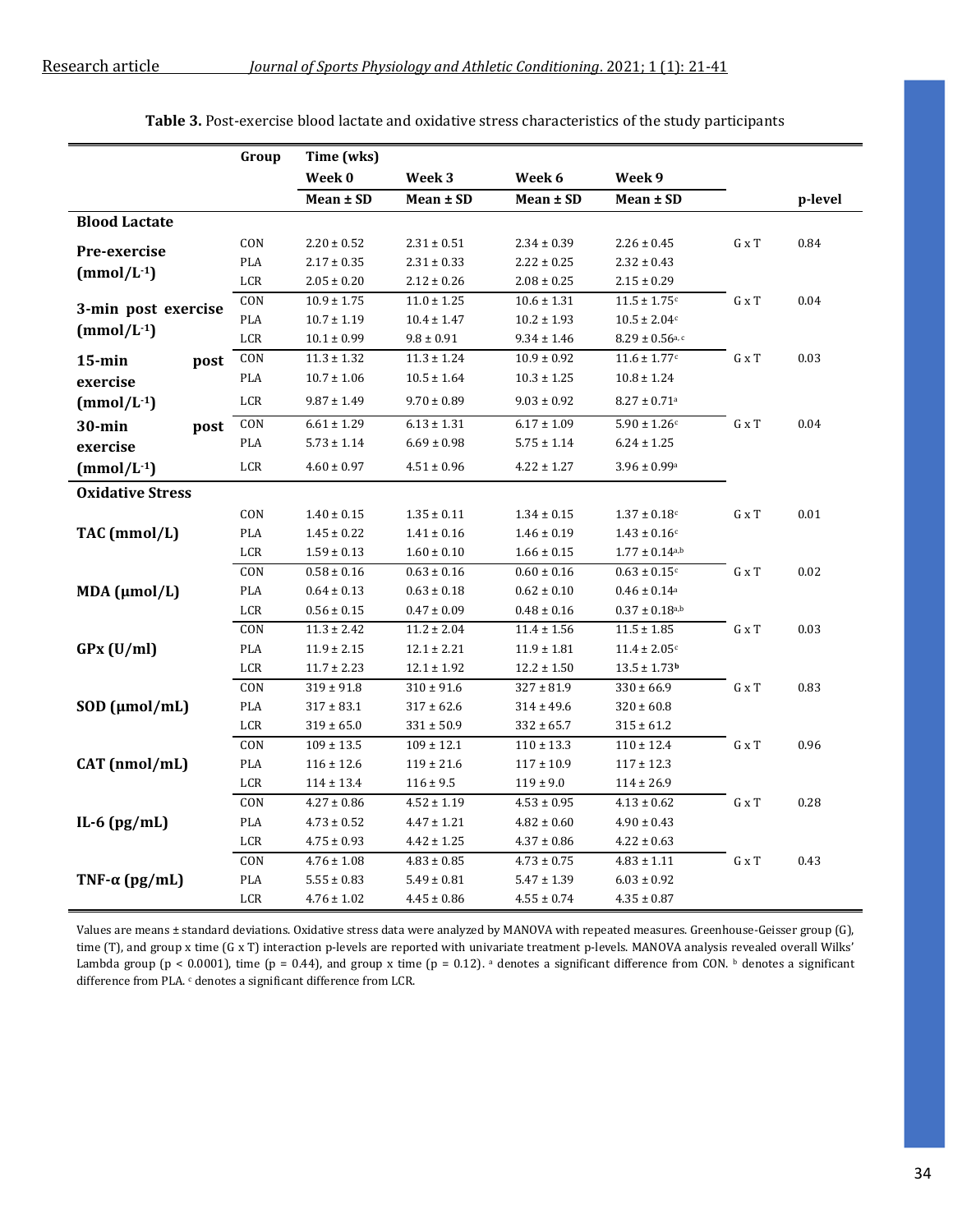|                         | Group                       | Time (wks)      |                   |                 |                                 |                       |         |
|-------------------------|-----------------------------|-----------------|-------------------|-----------------|---------------------------------|-----------------------|---------|
|                         |                             | Week 0          | Week <sub>3</sub> | Week 6          | Week 9                          |                       |         |
|                         |                             | $Mean \pm SD$   | $Mean \pm SD$     | Mean ± SD       | $Mean \pm SD$                   |                       | p-level |
| <b>Blood Lactate</b>    |                             |                 |                   |                 |                                 |                       |         |
| Pre-exercise            | CON                         | $2.20\pm0.52$   | $2.31 \pm 0.51$   | $2.34 \pm 0.39$ | $2.26 \pm 0.45$                 | ${\bf G} \ge {\bf T}$ | 0.84    |
|                         | PLA                         | $2.17 \pm 0.35$ | $2.31 \pm 0.33$   | $2.22 \pm 0.25$ | $2.32 \pm 0.43$                 |                       |         |
| $(mmol/L^{-1})$         | $_{\rm LCR}$                | $2.05 \pm 0.20$ | $2.12 \pm 0.26$   | $2.08 \pm 0.25$ | $2.15 \pm 0.29$                 |                       |         |
| 3-min post exercise     | CON                         | $10.9 \pm 1.75$ | $11.0 \pm 1.25$   | $10.6 \pm 1.31$ | $11.5 \pm 1.75$ <sup>c</sup>    | G x T                 | 0.04    |
| $(mmol/L^{-1})$         | PLA                         | $10.7 \pm 1.19$ | $10.4 \pm 1.47$   | $10.2 \pm 1.93$ | $10.5 \pm 2.04c$                |                       |         |
|                         | LCR                         | $10.1 \pm 0.99$ | $9.8 \pm 0.91$    | $9.34 \pm 1.46$ | $8.29 \pm 0.56$ <sub>a, c</sub> |                       |         |
| $15$ -min<br>post       | CON                         | $11.3 \pm 1.32$ | $11.3 \pm 1.24$   | $10.9 \pm 0.92$ | $11.6 \pm 1.77$ <sup>c</sup>    | $G \times T$          | 0.03    |
| exercise                | $\mathsf{PLA}$              | $10.7 \pm 1.06$ | $10.5 \pm 1.64$   | $10.3 \pm 1.25$ | $10.8 \pm 1.24$                 |                       |         |
| $(mmol/L^{-1})$         | LCR                         | $9.87 \pm 1.49$ | $9.70 \pm 0.89$   | $9.03 \pm 0.92$ | $8.27 \pm 0.71$ <sup>a</sup>    |                       |         |
| $30 - min$<br>post      | CON                         | $6.61 \pm 1.29$ | $6.13 \pm 1.31$   | $6.17 \pm 1.09$ | $5.90 \pm 1.26$ c               | ${\bf G} \ge {\bf T}$ | 0.04    |
| exercise                | PLA                         | $5.73 \pm 1.14$ | $6.69 \pm 0.98$   | $5.75 \pm 1.14$ | $6.24 \pm 1.25$                 |                       |         |
| $(mmol/L^{-1})$         | $_{\rm LCR}$                | $4.60\pm0.97$   | $4.51 \pm 0.96$   | $4.22 \pm 1.27$ | $3.96 \pm 0.99$ <sup>a</sup>    |                       |         |
| <b>Oxidative Stress</b> |                             |                 |                   |                 |                                 |                       |         |
|                         | $\mathop{\rm CON}\nolimits$ | $1.40 \pm 0.15$ | $1.35 \pm 0.11$   | $1.34 \pm 0.15$ | $1.37 \pm 0.18$ c               | G x T                 | 0.01    |
| TAC (mmol/L)            | PLA                         | $1.45 \pm 0.22$ | $1.41 \pm 0.16$   | $1.46 \pm 0.19$ | $1.43 \pm 0.16$ c               |                       |         |
|                         | LCR                         | $1.59 \pm 0.13$ | $1.60 \pm 0.10$   | $1.66 \pm 0.15$ | $1.77 \pm 0.14$ <sub>a,b</sub>  |                       |         |
|                         | CON                         | $0.58 \pm 0.16$ | $0.63 \pm 0.16$   | $0.60 \pm 0.16$ | $0.63 \pm 0.15$ c               | ${\bf G} \ge {\bf T}$ | 0.02    |
| $MDA$ ( $\mu$ mol/L)    | PLA                         | $0.64 \pm 0.13$ | $0.63 \pm 0.18$   | $0.62 \pm 0.10$ | $0.46 \pm 0.14$ <sup>a</sup>    |                       |         |
|                         | LCR                         | $0.56 \pm 0.15$ | $0.47 \pm 0.09$   | $0.48 \pm 0.16$ | $0.37 \pm 0.18^{a,b}$           |                       |         |
|                         | CON                         | $11.3 \pm 2.42$ | $11.2 \pm 2.04$   | $11.4 \pm 1.56$ | $11.5 \pm 1.85$                 | ${\bf G} \ge {\bf T}$ | 0.03    |
| GPx (U/ml)              | PLA                         | $11.9 \pm 2.15$ | $12.1 \pm 2.21$   | $11.9 \pm 1.81$ | $11.4 \pm 2.05$ c               |                       |         |
|                         | $_{\rm LCR}$                | $11.7 \pm 2.23$ | $12.1 \pm 1.92$   | $12.2 \pm 1.50$ | $13.5 \pm 1.73$ <sup>b</sup>    |                       |         |
|                         | CON                         | $319 \pm 91.8$  | $310 \pm 91.6$    | $327 \pm 81.9$  | $330 \pm 66.9$                  | G x T                 | 0.83    |
| $SOD$ ( $\mu$ mol/mL)   | PLA                         | $317 \pm 83.1$  | $317 \pm 62.6$    | $314 \pm 49.6$  | $320 \pm 60.8$                  |                       |         |
|                         | LCR                         | $319 \pm 65.0$  | $331 \pm 50.9$    | $332 \pm 65.7$  | $315 \pm 61.2$                  |                       |         |
|                         | CON                         | $109 \pm 13.5$  | $109 \pm 12.1$    | $110 \pm 13.3$  | $110 \pm 12.4$                  | ${\bf G} \ge {\bf T}$ | 0.96    |
| CAT (nmol/mL)           | PLA                         | $116 \pm 12.6$  | $119 \pm 21.6$    | $117 \pm 10.9$  | $117 \pm 12.3$                  |                       |         |
|                         | LCR                         | $114 \pm 13.4$  | $116 \pm 9.5$     | $119 \pm 9.0$   | $114 \pm 26.9$                  |                       |         |
|                         | CON                         | $4.27 \pm 0.86$ | $4.52 \pm 1.19$   | $4.53 \pm 0.95$ | $\overline{4.13} \pm 0.62$      | ${\bf G} \ge {\bf T}$ | 0.28    |
| IL-6 $(pg/mL)$          | PLA                         | $4.73 \pm 0.52$ | $4.47 \pm 1.21$   | $4.82 \pm 0.60$ | $4.90 \pm 0.43$                 |                       |         |
|                         | $_{\rm LCR}$                | $4.75 \pm 0.93$ | $4.42 \pm 1.25$   | $4.37 \pm 0.86$ | $4.22 \pm 0.63$                 |                       |         |
|                         | $\mathop{\rm CON}\nolimits$ | $4.76 \pm 1.08$ | $4.83 \pm 0.85$   | $4.73 \pm 0.75$ | $4.83 \pm 1.11$                 | ${\bf G} \ge {\bf T}$ | 0.43    |
| TNF- $\alpha$ (pg/mL)   | $\mathsf{PLA}$              | $5.55 \pm 0.83$ | $5.49 \pm 0.81$   | $5.47 \pm 1.39$ | $6.03\pm0.92$                   |                       |         |
|                         | LCR                         | $4.76 \pm 1.02$ | $4.45 \pm 0.86$   | $4.55 \pm 0.74$ | $4.35 \pm 0.87$                 |                       |         |

**Table 3.** Post-exercise blood lactate and oxidative stress characteristics of the study participants

Values are means ± standard deviations. Oxidative stress data were analyzed by MANOVA with repeated measures. Greenhouse-Geisser group (G), time (T), and group x time (G x T) interaction p-levels are reported with univariate treatment p-levels. MANOVA analysis revealed overall Wilks' Lambda group (p < 0.0001), time (p = 0.44), and group x time (p = 0.12). <sup>a</sup> denotes a significant difference from CON. <sup>b</sup> denotes a significant difference from PLA. c denotes a significant difference from LCR.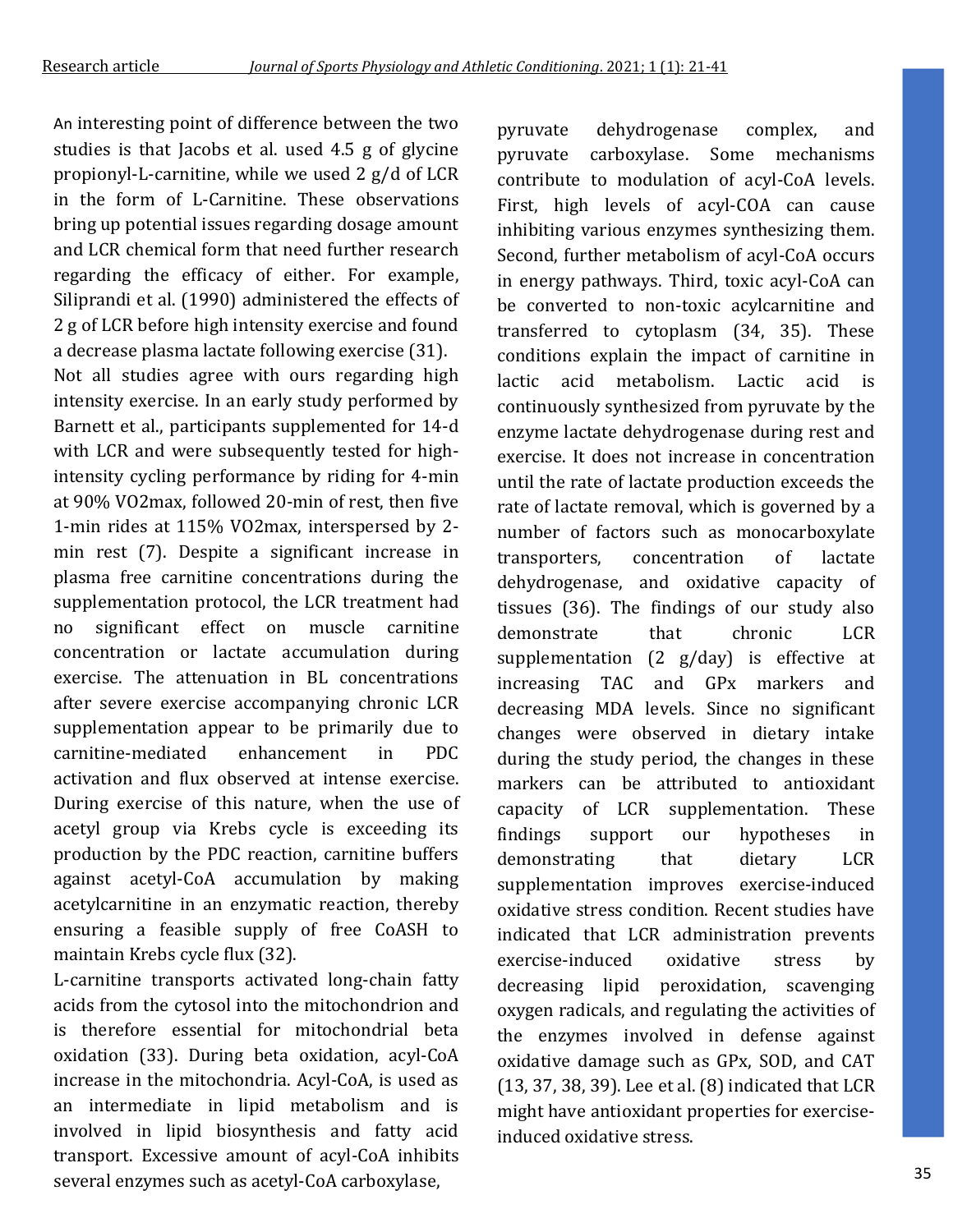An interesting point of difference between the two studies is that Jacobs et al. used 4.5 g of glycine propionyl-L-carnitine, while we used 2 g/d of LCR in the form of L-Carnitine. These observations bring up potential issues regarding dosage amount and LCR chemical form that need further research regarding the efficacy of either. For example, Siliprandi et al. (1990) administered the effects of 2 g of LCR before high intensity exercise and found a decrease plasma lactate following exercise (31).

Not all studies agree with ours regarding high intensity exercise. In an early study performed by Barnett et al., participants supplemented for 14-d with LCR and were subsequently tested for highintensity cycling performance by riding for 4-min at 90% VO2max, followed 20-min of rest, then five 1-min rides at 115% VO2max, interspersed by 2 min rest (7). Despite a significant increase in plasma free carnitine concentrations during the supplementation protocol, the LCR treatment had no significant effect on muscle carnitine concentration or lactate accumulation during exercise. The attenuation in BL concentrations after severe exercise accompanying chronic LCR supplementation appear to be primarily due to carnitine-mediated enhancement in PDC activation and flux observed at intense exercise. During exercise of this nature, when the use of acetyl group via Krebs cycle is exceeding its production by the PDC reaction, carnitine buffers against acetyl-CoA accumulation by making acetylcarnitine in an enzymatic reaction, thereby ensuring a feasible supply of free CoASH to maintain Krebs cycle flux (32).

L-carnitine transports activated long-chain fatty acids from the cytosol into the mitochondrion and is therefore essential for mitochondrial beta oxidation (33). During beta oxidation, acyl-CoA increase in the mitochondria. Acyl-CoA, is used as an intermediate in lipid metabolism and is involved in lipid biosynthesis and fatty acid transport. Excessive amount of acyl-CoA inhibits several enzymes such as acetyl-CoA carboxylase,

pyruvate dehydrogenase complex, and pyruvate carboxylase. Some mechanisms contribute to modulation of acyl-CoA levels. First, high levels of acyl-COA can cause inhibiting various enzymes synthesizing them. Second, further metabolism of acyl-CoA occurs in energy pathways. Third, toxic acyl-CoA can be converted to non-toxic acylcarnitine and transferred to cytoplasm (34, 35). These conditions explain the impact of carnitine in lactic acid metabolism. Lactic acid is continuously synthesized from pyruvate by the enzyme lactate dehydrogenase during rest and exercise. It does not increase in concentration until the rate of lactate production exceeds the rate of lactate removal, which is governed by a number of factors such as monocarboxylate transporters, concentration of lactate dehydrogenase, and oxidative capacity of tissues (36). The findings of our study also demonstrate that chronic LCR supplementation (2 g/day) is effective at increasing TAC and GPx markers and decreasing MDA levels. Since no significant changes were observed in dietary intake during the study period, the changes in these markers can be attributed to antioxidant capacity of LCR supplementation. These findings support our hypotheses in demonstrating that dietary LCR supplementation improves exercise-induced oxidative stress condition. Recent studies have indicated that LCR administration prevents exercise-induced oxidative stress by decreasing lipid peroxidation, scavenging oxygen radicals, and regulating the activities of the enzymes involved in defense against oxidative damage such as GPx, SOD, and CAT (13, 37, 38, 39). Lee et al. (8) indicated that LCR might have antioxidant properties for exerciseinduced oxidative stress.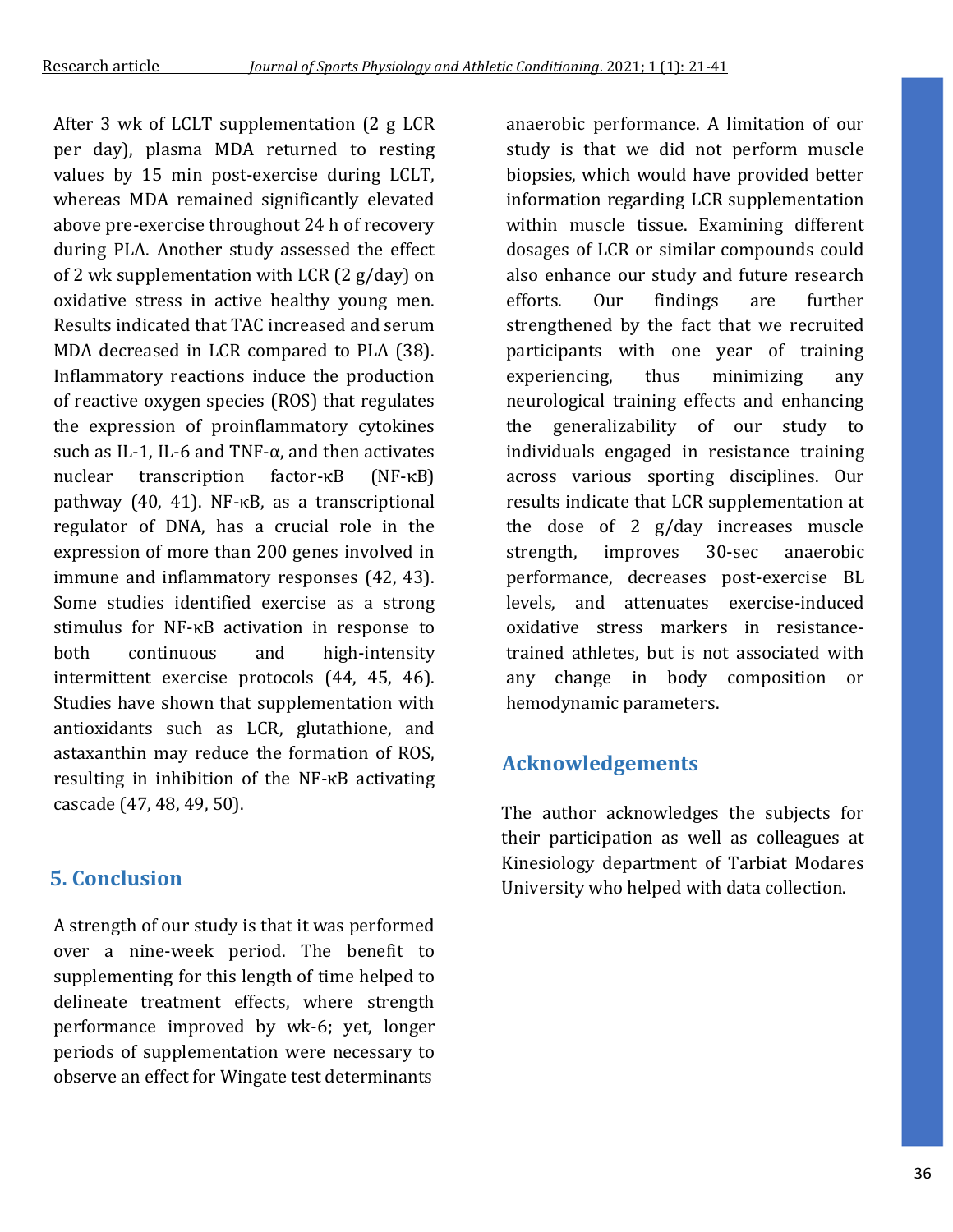After 3 wk of LCLT supplementation (2 g LCR per day), plasma MDA returned to resting values by 15 min post-exercise during LCLT, whereas MDA remained significantly elevated above pre-exercise throughout 24 h of recovery during PLA. Another study assessed the effect of 2 wk supplementation with LCR (2 g/day) on oxidative stress in active healthy young men. Results indicated that TAC increased and serum MDA decreased in LCR compared to PLA (38). Inflammatory reactions induce the production of reactive oxygen species (ROS) that regulates the expression of proinflammatory cytokines such as IL-1, IL-6 and TNF- $\alpha$ , and then activates nuclear transcription factor-κB (NF-κB) pathway (40, 41). NF-κB, as a transcriptional regulator of DNA, has a crucial role in the expression of more than 200 genes involved in immune and inflammatory responses (42, 43). Some studies identified exercise as a strong stimulus for NF-κB activation in response to both continuous and high-intensity intermittent exercise protocols (44, 45, 46). Studies have shown that supplementation with antioxidants such as LCR, glutathione, and astaxanthin may reduce the formation of ROS, resulting in inhibition of the NF-κB activating cascade (47, 48, 49, 50).

# **5. Conclusion**

A strength of our study is that it was performed over a nine-week period. The benefit to supplementing for this length of time helped to delineate treatment effects, where strength performance improved by wk-6; yet, longer periods of supplementation were necessary to observe an effect for Wingate test determinants

anaerobic performance. A limitation of our study is that we did not perform muscle biopsies, which would have provided better information regarding LCR supplementation within muscle tissue. Examining different dosages of LCR or similar compounds could also enhance our study and future research efforts. Our findings are further strengthened by the fact that we recruited participants with one year of training experiencing, thus minimizing any neurological training effects and enhancing the generalizability of our study to individuals engaged in resistance training across various sporting disciplines. Our results indicate that LCR supplementation at the dose of 2 g/day increases muscle strength, improves 30-sec anaerobic performance, decreases post-exercise BL levels, and attenuates exercise-induced oxidative stress markers in resistancetrained athletes, but is not associated with any change in body composition or hemodynamic parameters.

# **Acknowledgements**

The author acknowledges the subjects for their participation as well as colleagues at Kinesiology department of Tarbiat Modares University who helped with data collection.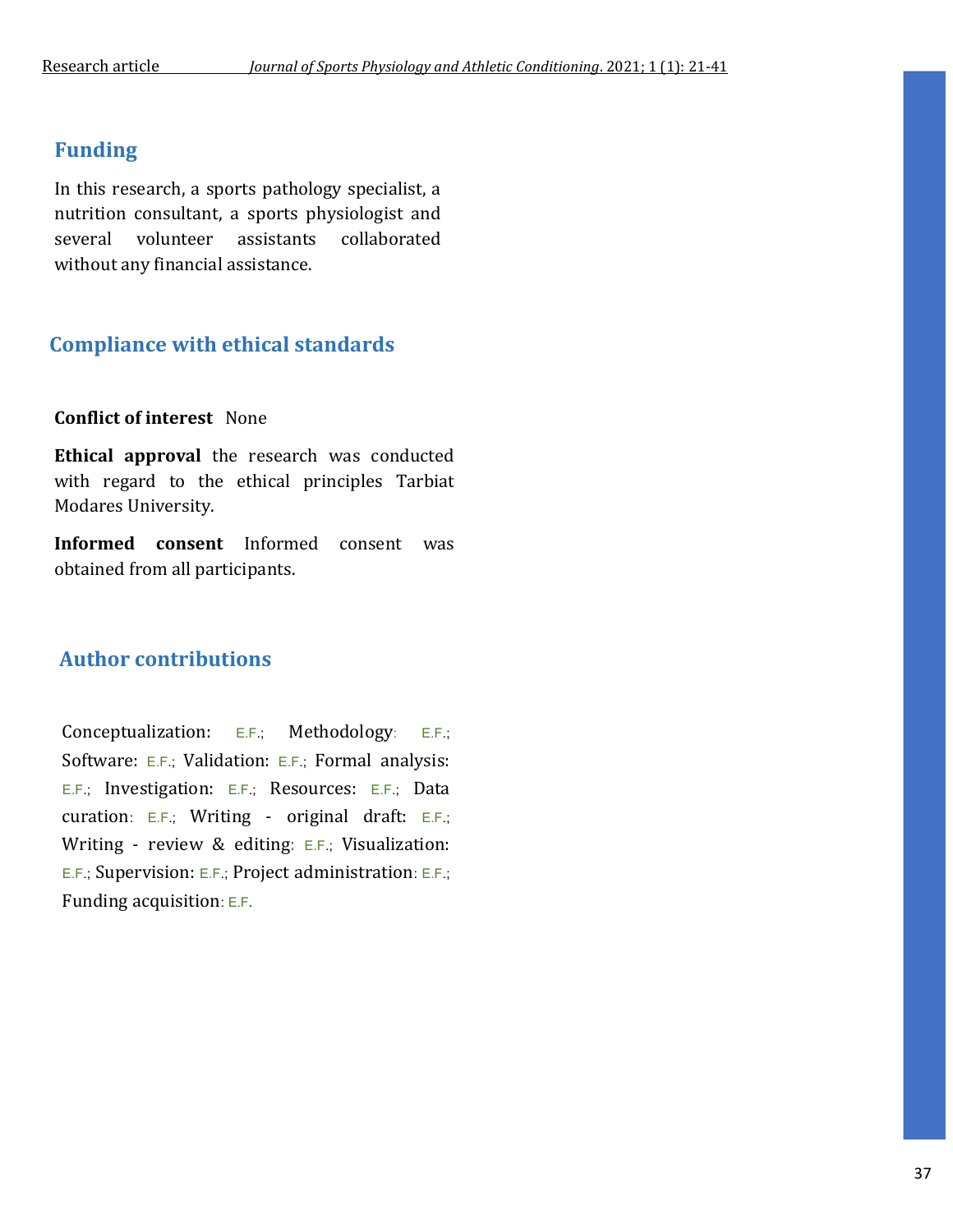### **Funding**

In this research, a sports pathology specialist, a nutrition consultant, a sports physiologist and several volunteer assistants collaborated without any financial assistance.

## **Compliance with ethical standards**

#### **Conflict of interest** None

**Ethical approval** the research was conducted with regard to the ethical principles Tarbiat Modares University.

**Informed consent** Informed consent was obtained from all participants.

### **Author contributions**

Conceptualization: E.F.; Methodology: E.F.; Software: E.F.; Validation: E.F.; Formal analysis: E.F.; Investigation: E.F.; Resources: E.F.; Data curation: E.F.; Writing - original draft: E.F.; Writing - review & editing: E.F.; Visualization: E.F.; Supervision: E.F.; Project administration: E.F.; Funding acquisition: E.F.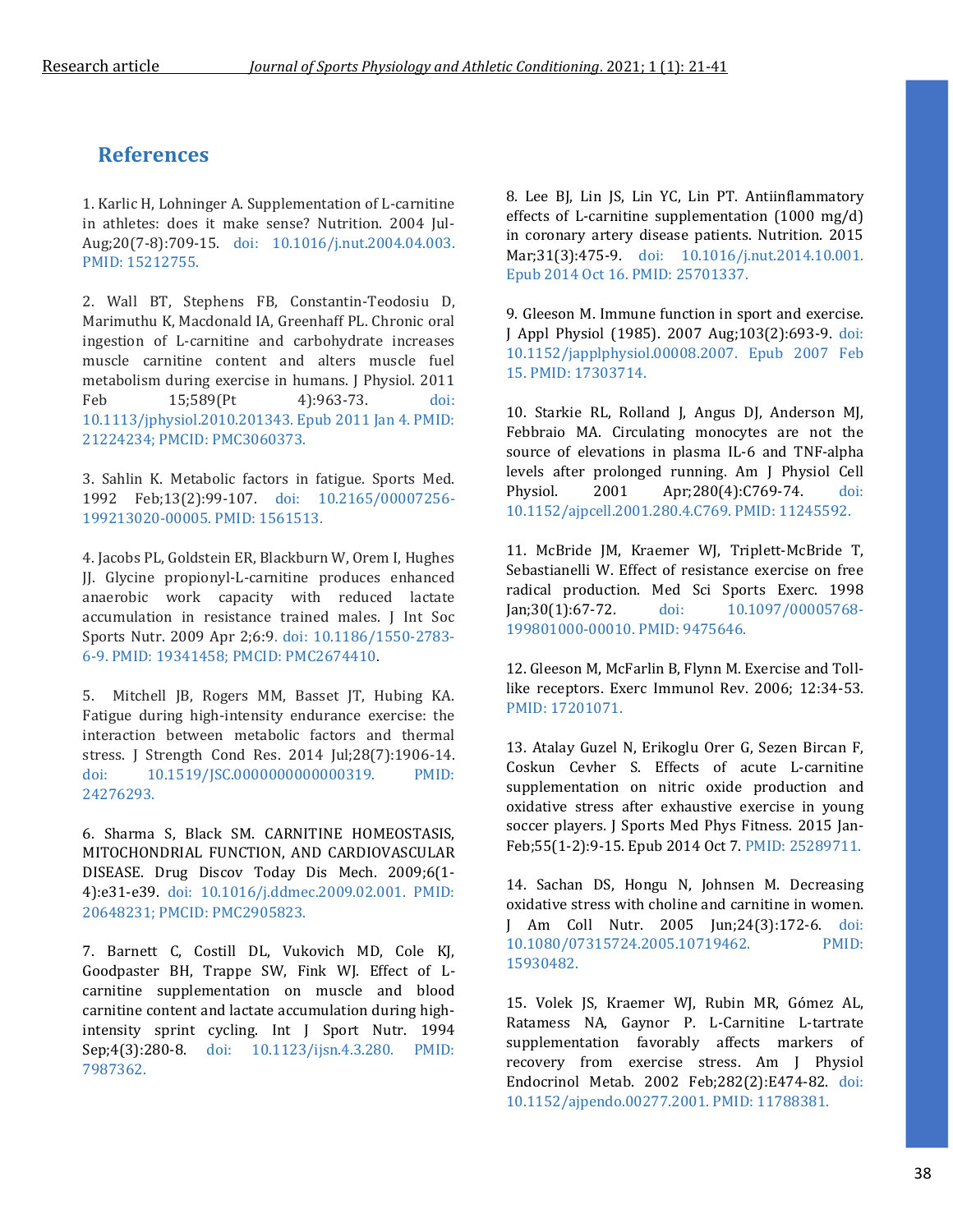## **References**

1. Karlic H, Lohninger A. Supplementation of L-carnitine in athletes: does it make sense? Nutrition. 2004 Jul-Aug;20(7-8):709-15. doi: 10.1016/j.nut.2004.04.003. PMID: 15212755.

2. Wall BT, Stephens FB, Constantin-Teodosiu D, Marimuthu K, Macdonald IA, Greenhaff PL. Chronic oral ingestion of L-carnitine and carbohydrate increases muscle carnitine content and alters muscle fuel metabolism during exercise in humans. J Physiol. 2011 Feb 15;589(Pt 4):963-73. doi: 10.1113/jphysiol.2010.201343. Epub 2011 Jan 4. PMID: 21224234; PMCID: PMC3060373.

3. Sahlin K. Metabolic factors in fatigue. Sports Med. 1992 Feb;13(2):99-107. doi: 10.2165/00007256- 199213020-00005. PMID: 1561513.

4. Jacobs PL, Goldstein ER, Blackburn W, Orem I, Hughes JJ. Glycine propionyl-L-carnitine produces enhanced anaerobic work capacity with reduced lactate accumulation in resistance trained males. J Int Soc Sports Nutr. 2009 Apr 2;6:9. doi: 10.1186/1550-2783- 6-9. PMID: 19341458; PMCID: PMC2674410.

5. Mitchell JB, Rogers MM, Basset JT, Hubing KA. Fatigue during high-intensity endurance exercise: the interaction between metabolic factors and thermal stress. J Strength Cond Res. 2014 Jul;28(7):1906-14. doi: 10.1519/JSC.0000000000000319. PMID: 24276293.

6. Sharma S, Black SM. CARNITINE HOMEOSTASIS, MITOCHONDRIAL FUNCTION, AND CARDIOVASCULAR DISEASE. Drug Discov Today Dis Mech. 2009;6(1- 4):e31-e39. doi: 10.1016/j.ddmec.2009.02.001. PMID: 20648231; PMCID: PMC2905823.

7. Barnett C, Costill DL, Vukovich MD, Cole KJ, Goodpaster BH, Trappe SW, Fink WJ. Effect of Lcarnitine supplementation on muscle and blood carnitine content and lactate accumulation during highintensity sprint cycling. Int J Sport Nutr. 1994 Sep;4(3):280-8. doi: 10.1123/ijsn.4.3.280. PMID: 7987362.

8. Lee BJ, Lin JS, Lin YC, Lin PT. Antiinflammatory effects of L-carnitine supplementation (1000 mg/d) in coronary artery disease patients. Nutrition. 2015 Mar;31(3):475-9. doi: 10.1016/j.nut.2014.10.001. Epub 2014 Oct 16. PMID: 25701337.

9. Gleeson M. Immune function in sport and exercise. J Appl Physiol (1985). 2007 Aug;103(2):693-9. doi: 10.1152/japplphysiol.00008.2007. Epub 2007 Feb 15. PMID: 17303714.

10. Starkie RL, Rolland J, Angus DJ, Anderson MJ, Febbraio MA. Circulating monocytes are not the source of elevations in plasma IL-6 and TNF-alpha levels after prolonged running. Am J Physiol Cell Physiol. 2001 Apr;280(4):C769-74. doi: 10.1152/ajpcell.2001.280.4.C769. PMID: 11245592.

11. McBride JM, Kraemer WJ, Triplett-McBride T, Sebastianelli W. Effect of resistance exercise on free radical production. Med Sci Sports Exerc. 1998 Jan;30(1):67-72. doi: 10.1097/00005768- 199801000-00010. PMID: 9475646.

12. Gleeson M, McFarlin B, Flynn M. Exercise and Tolllike receptors. Exerc Immunol Rev. 2006; 12:34-53. PMID: 17201071.

13. Atalay Guzel N, Erikoglu Orer G, Sezen Bircan F, Coskun Cevher S. Effects of acute L-carnitine supplementation on nitric oxide production and oxidative stress after exhaustive exercise in young soccer players. J Sports Med Phys Fitness. 2015 Jan-Feb;55(1-2):9-15. Epub 2014 Oct 7. PMID: 25289711.

14. Sachan DS, Hongu N, Johnsen M. Decreasing oxidative stress with choline and carnitine in women. J Am Coll Nutr. 2005 Jun;24(3):172-6. doi: 10.1080/07315724.2005.10719462. PMID: 15930482.

15. Volek JS, Kraemer WJ, Rubin MR, Gómez AL, Ratamess NA, Gaynor P. L-Carnitine L-tartrate supplementation favorably affects markers of recovery from exercise stress. Am J Physiol Endocrinol Metab. 2002 Feb;282(2):E474-82. doi: 10.1152/ajpendo.00277.2001. PMID: 11788381.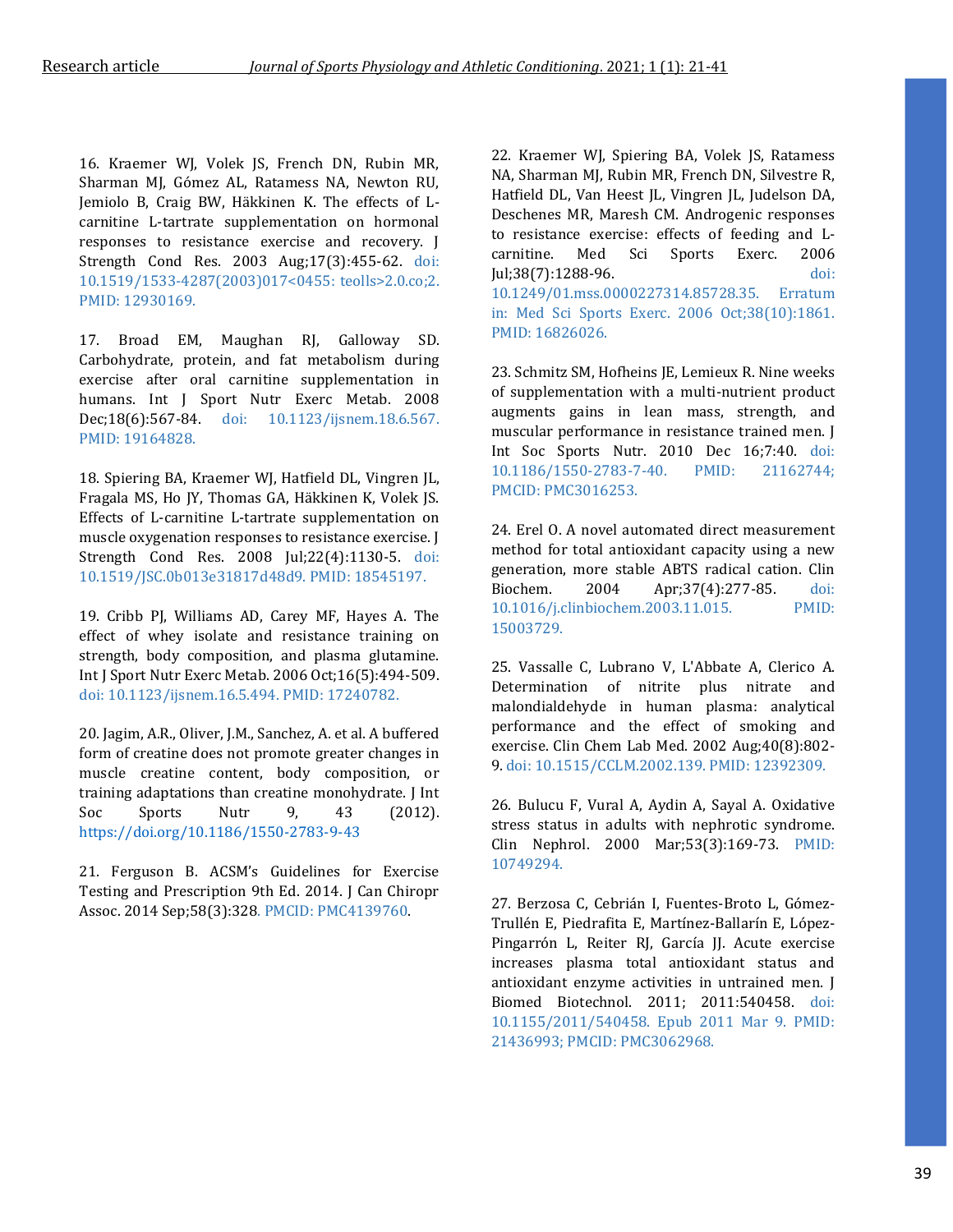16. Kraemer WJ, Volek JS, French DN, Rubin MR, Sharman MJ, Gómez AL, Ratamess NA, Newton RU, Jemiolo B, Craig BW, Häkkinen K. The effects of Lcarnitine L-tartrate supplementation on hormonal responses to resistance exercise and recovery. J Strength Cond Res. 2003 Aug;17(3):455-62. doi: 10.1519/1533-4287(2003)017<0455: teolls>2.0.co;2. PMID: 12930169.

17. Broad EM, Maughan RJ, Galloway SD. Carbohydrate, protein, and fat metabolism during exercise after oral carnitine supplementation in humans. Int J Sport Nutr Exerc Metab. 2008 Dec;18(6):567-84. doi: 10.1123/ijsnem.18.6.567. PMID: 19164828.

18. Spiering BA, Kraemer WJ, Hatfield DL, Vingren JL, Fragala MS, Ho JY, Thomas GA, Häkkinen K, Volek JS. Effects of L-carnitine L-tartrate supplementation on muscle oxygenation responses to resistance exercise. J Strength Cond Res. 2008 Jul;22(4):1130-5. doi: 10.1519/JSC.0b013e31817d48d9. PMID: 18545197.

19. Cribb PJ, Williams AD, Carey MF, Hayes A. The effect of whey isolate and resistance training on strength, body composition, and plasma glutamine. Int J Sport Nutr Exerc Metab. 2006 Oct;16(5):494-509. doi: 10.1123/ijsnem.16.5.494. PMID: 17240782.

20. Jagim, A.R., Oliver, J.M., Sanchez, A. et al. A buffered form of creatine does not promote greater changes in muscle creatine content, body composition, or training adaptations than creatine monohydrate. J Int Soc Sports Nutr 9, 43 (2012). <https://doi.org/10.1186/1550-2783-9-43>

21. Ferguson B. ACSM's Guidelines for Exercise Testing and Prescription 9th Ed. 2014. J Can Chiropr Assoc. 2014 Sep;58(3):328. PMCID: PMC4139760.

22. Kraemer WJ, Spiering BA, Volek JS, Ratamess NA, Sharman MJ, Rubin MR, French DN, Silvestre R, Hatfield DL, Van Heest JL, Vingren JL, Judelson DA, Deschenes MR, Maresh CM. Androgenic responses to resistance exercise: effects of feeding and Lcarnitine. Med Sci Sports Exerc. 2006 Jul;38(7):1288-96. doi: 10.1249/01.mss.0000227314.85728.35. Erratum in: Med Sci Sports Exerc. 2006 Oct;38(10):1861. PMID: 16826026.

23. Schmitz SM, Hofheins JE, Lemieux R. Nine weeks of supplementation with a multi-nutrient product augments gains in lean mass, strength, and muscular performance in resistance trained men. J Int Soc Sports Nutr. 2010 Dec 16;7:40. doi: 10.1186/1550-2783-7-40. PMID: 21162744; PMCID: PMC3016253.

24. Erel O. A novel automated direct measurement method for total antioxidant capacity using a new generation, more stable ABTS radical cation. Clin Biochem. 2004 Apr;37(4):277-85. doi: 10.1016/j.clinbiochem.2003.11.015. PMID: 15003729.

25. Vassalle C, Lubrano V, L'Abbate A, Clerico A. Determination of nitrite plus nitrate and malondialdehyde in human plasma: analytical performance and the effect of smoking and exercise. Clin Chem Lab Med. 2002 Aug;40(8):802- 9. doi: 10.1515/CCLM.2002.139. PMID: 12392309.

26. Bulucu F, Vural A, Aydin A, Sayal A. Oxidative stress status in adults with nephrotic syndrome. Clin Nephrol. 2000 Mar;53(3):169-73. PMID: 10749294.

27. Berzosa C, Cebrián I, Fuentes-Broto L, Gómez-Trullén E, Piedrafita E, Martínez-Ballarín E, López-Pingarrón L, Reiter RJ, García JJ. Acute exercise increases plasma total antioxidant status and antioxidant enzyme activities in untrained men. J Biomed Biotechnol. 2011; 2011:540458. doi: 10.1155/2011/540458. Epub 2011 Mar 9. PMID: 21436993; PMCID: PMC3062968.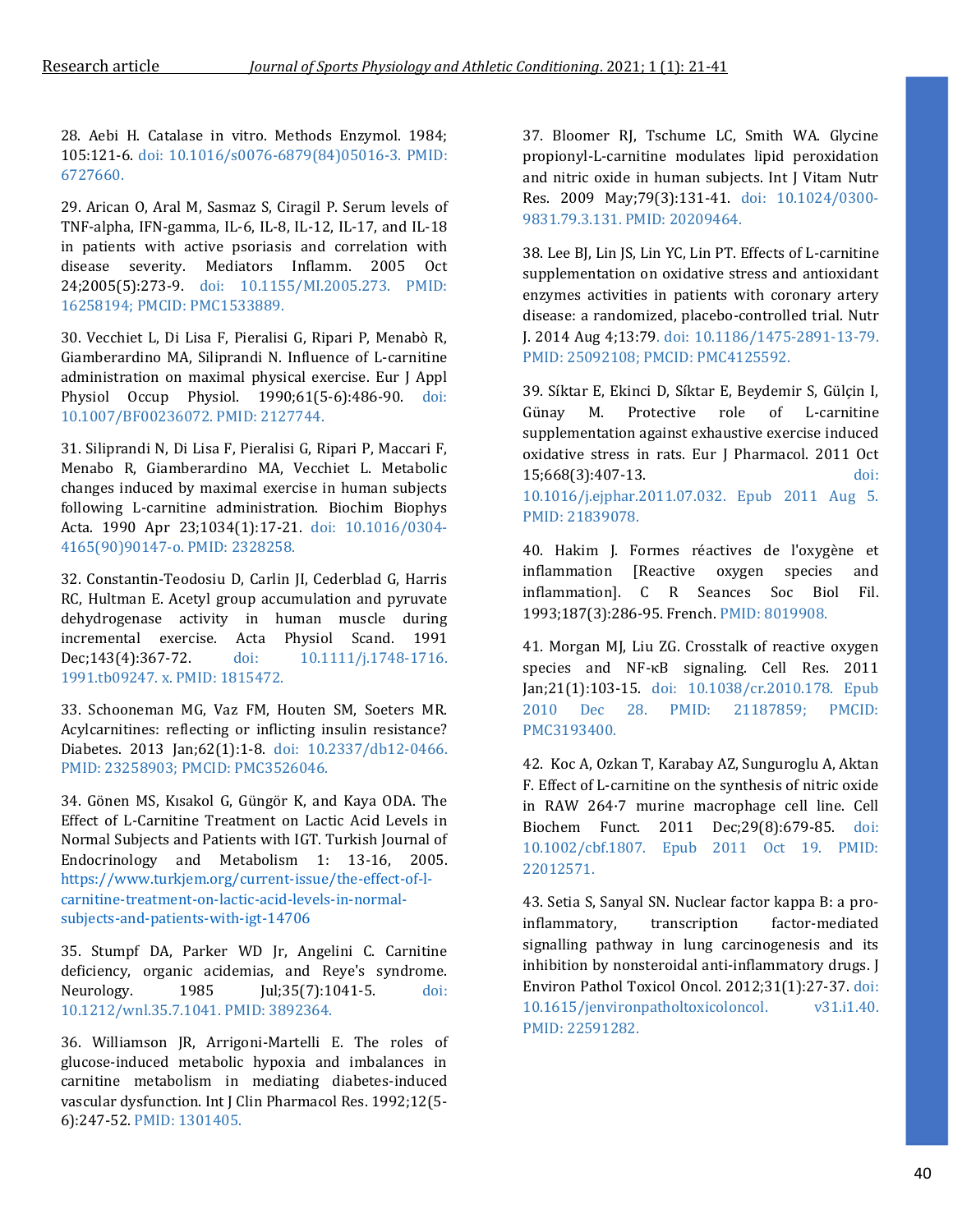28. Aebi H. Catalase in vitro. Methods Enzymol. 1984; 105:121-6. doi: 10.1016/s0076-6879(84)05016-3. PMID: 6727660.

29. Arican O, Aral M, Sasmaz S, Ciragil P. Serum levels of TNF-alpha, IFN-gamma, IL-6, IL-8, IL-12, IL-17, and IL-18 in patients with active psoriasis and correlation with disease severity. Mediators Inflamm. 2005 Oct 24;2005(5):273-9. doi: 10.1155/MI.2005.273. PMID: 16258194; PMCID: PMC1533889.

30. Vecchiet L, Di Lisa F, Pieralisi G, Ripari P, Menabò R, Giamberardino MA, Siliprandi N. Influence of L-carnitine administration on maximal physical exercise. Eur J Appl Physiol Occup Physiol. 1990;61(5-6):486-90. doi: 10.1007/BF00236072. PMID: 2127744.

31. Siliprandi N, Di Lisa F, Pieralisi G, Ripari P, Maccari F, Menabo R, Giamberardino MA, Vecchiet L. Metabolic changes induced by maximal exercise in human subjects following L-carnitine administration. Biochim Biophys Acta. 1990 Apr 23;1034(1):17-21. doi: 10.1016/0304- 4165(90)90147-o. PMID: 2328258.

32. Constantin-Teodosiu D, Carlin JI, Cederblad G, Harris RC, Hultman E. Acetyl group accumulation and pyruvate dehydrogenase activity in human muscle during incremental exercise. Acta Physiol Scand. 1991 Dec;143(4):367-72. doi: 10.1111/j.1748-1716. 1991.tb09247. x. PMID: 1815472.

33. Schooneman MG, Vaz FM, Houten SM, Soeters MR. Acylcarnitines: reflecting or inflicting insulin resistance? Diabetes. 2013 Jan;62(1):1-8. doi: 10.2337/db12-0466. PMID: 23258903; PMCID: PMC3526046.

34. Gönen MS, Kısakol G, Güngör K, and Kaya ODA. The Effect of L-Carnitine Treatment on Lactic Acid Levels in Normal Subjects and Patients with IGT. Turkish Journal of Endocrinology and Metabolism 1: 13-16, 2005. [https://www.turkjem.org/current-issue/the-effect-of-l](https://www.turkjem.org/current-issue/the-effect-of-l-carnitine-treatment-on-lactic-acid-levels-in-normal-subjects-and-patients-with-igt-14706)[carnitine-treatment-on-lactic-acid-levels-in-normal](https://www.turkjem.org/current-issue/the-effect-of-l-carnitine-treatment-on-lactic-acid-levels-in-normal-subjects-and-patients-with-igt-14706)[subjects-and-patients-with-igt-14706](https://www.turkjem.org/current-issue/the-effect-of-l-carnitine-treatment-on-lactic-acid-levels-in-normal-subjects-and-patients-with-igt-14706)

35. Stumpf DA, Parker WD Jr, Angelini C. Carnitine deficiency, organic acidemias, and Reye's syndrome. Neurology. 1985 Jul;35(7):1041-5. doi: 10.1212/wnl.35.7.1041. PMID: 3892364.

36. Williamson JR, Arrigoni-Martelli E. The roles of glucose-induced metabolic hypoxia and imbalances in carnitine metabolism in mediating diabetes-induced vascular dysfunction. Int J Clin Pharmacol Res. 1992;12(5- 6):247-52. PMID: 1301405.

37. Bloomer RJ, Tschume LC, Smith WA. Glycine propionyl-L-carnitine modulates lipid peroxidation and nitric oxide in human subjects. Int J Vitam Nutr Res. 2009 May;79(3):131-41. doi: 10.1024/0300- 9831.79.3.131. PMID: 20209464.

38. Lee BJ, Lin JS, Lin YC, Lin PT. Effects of L-carnitine supplementation on oxidative stress and antioxidant enzymes activities in patients with coronary artery disease: a randomized, placebo-controlled trial. Nutr J. 2014 Aug 4;13:79. doi: 10.1186/1475-2891-13-79. PMID: 25092108; PMCID: PMC4125592.

39. Síktar E, Ekinci D, Síktar E, Beydemir S, Gülçin I, Günay M. Protective role of L-carnitine supplementation against exhaustive exercise induced oxidative stress in rats. Eur J Pharmacol. 2011 Oct 15;668(3):407-13. doi: 10.1016/j.ejphar.2011.07.032. Epub 2011 Aug 5. PMID: 21839078.

40. Hakim J. Formes réactives de l'oxygène et inflammation [Reactive oxygen species and inflammation]. C R Seances Soc Biol Fil. 1993;187(3):286-95. French. PMID: 8019908.

41. Morgan MJ, Liu ZG. Crosstalk of reactive oxygen species and NF-κB signaling. Cell Res. 2011 Jan;21(1):103-15. doi: 10.1038/cr.2010.178. Epub 2010 Dec 28. PMID: 21187859; PMCID: PMC3193400.

42. Koc A, Ozkan T, Karabay AZ, Sunguroglu A, Aktan F. Effect of L-carnitine on the synthesis of nitric oxide in RAW 264·7 murine macrophage cell line. Cell Biochem Funct. 2011 Dec;29(8):679-85. doi: 10.1002/cbf.1807. Epub 2011 Oct 19. PMID: 22012571.

43. Setia S, Sanyal SN. Nuclear factor kappa B: a proinflammatory, transcription factor-mediated signalling pathway in lung carcinogenesis and its inhibition by nonsteroidal anti-inflammatory drugs. J Environ Pathol Toxicol Oncol. 2012;31(1):27-37. doi: 10.1615/jenvironpatholtoxicoloncol. v31.i1.40. PMID: 22591282.